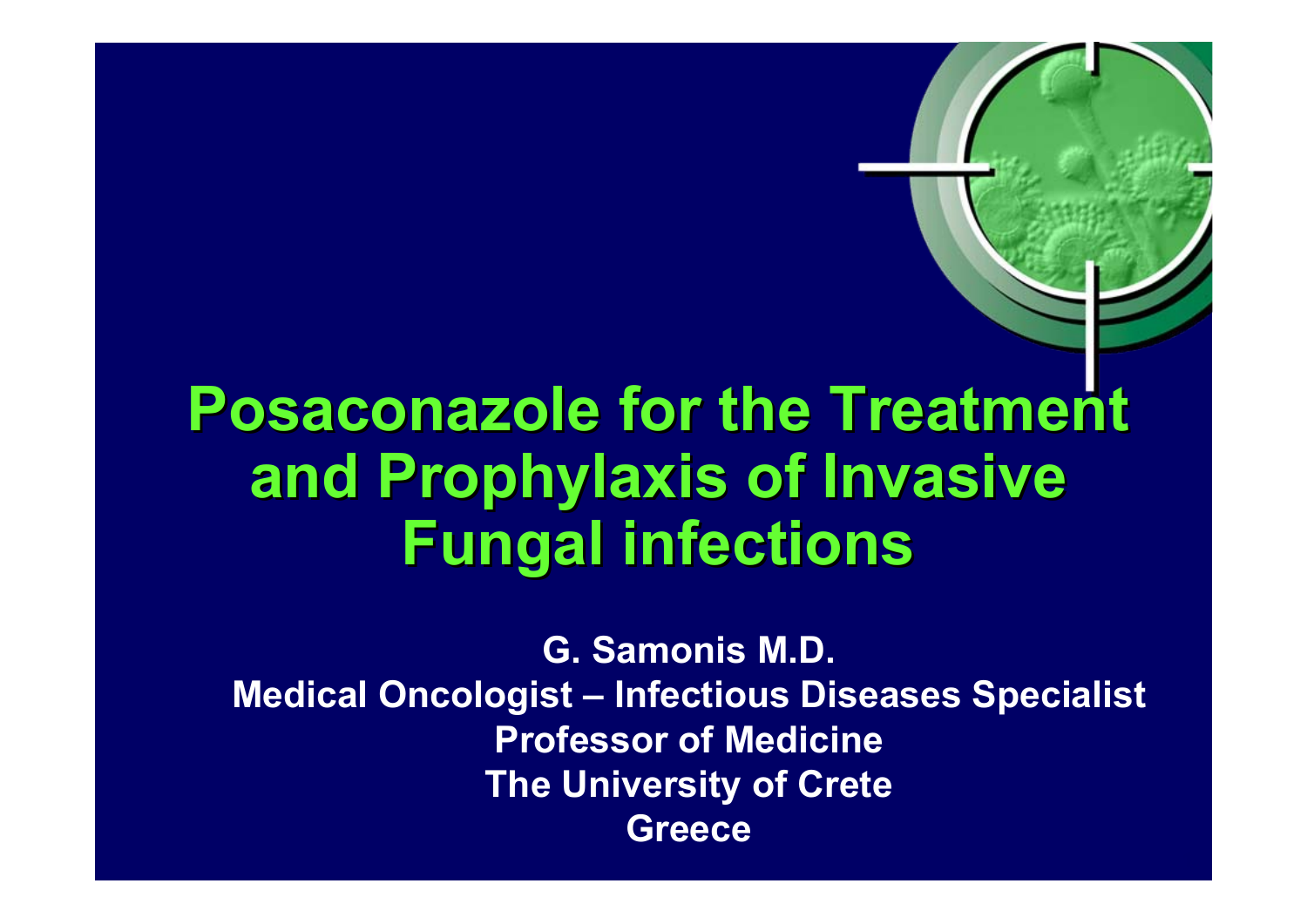# **Posaconazole for the Treatment and Prophylaxis of Invasive and Prophylaxis of Invasive Fungal infections Fungal infections**

**G. Samonis M.D. Medical Oncologist – Infectious Diseases Specialist Professor of Medicine The University of Crete Greece**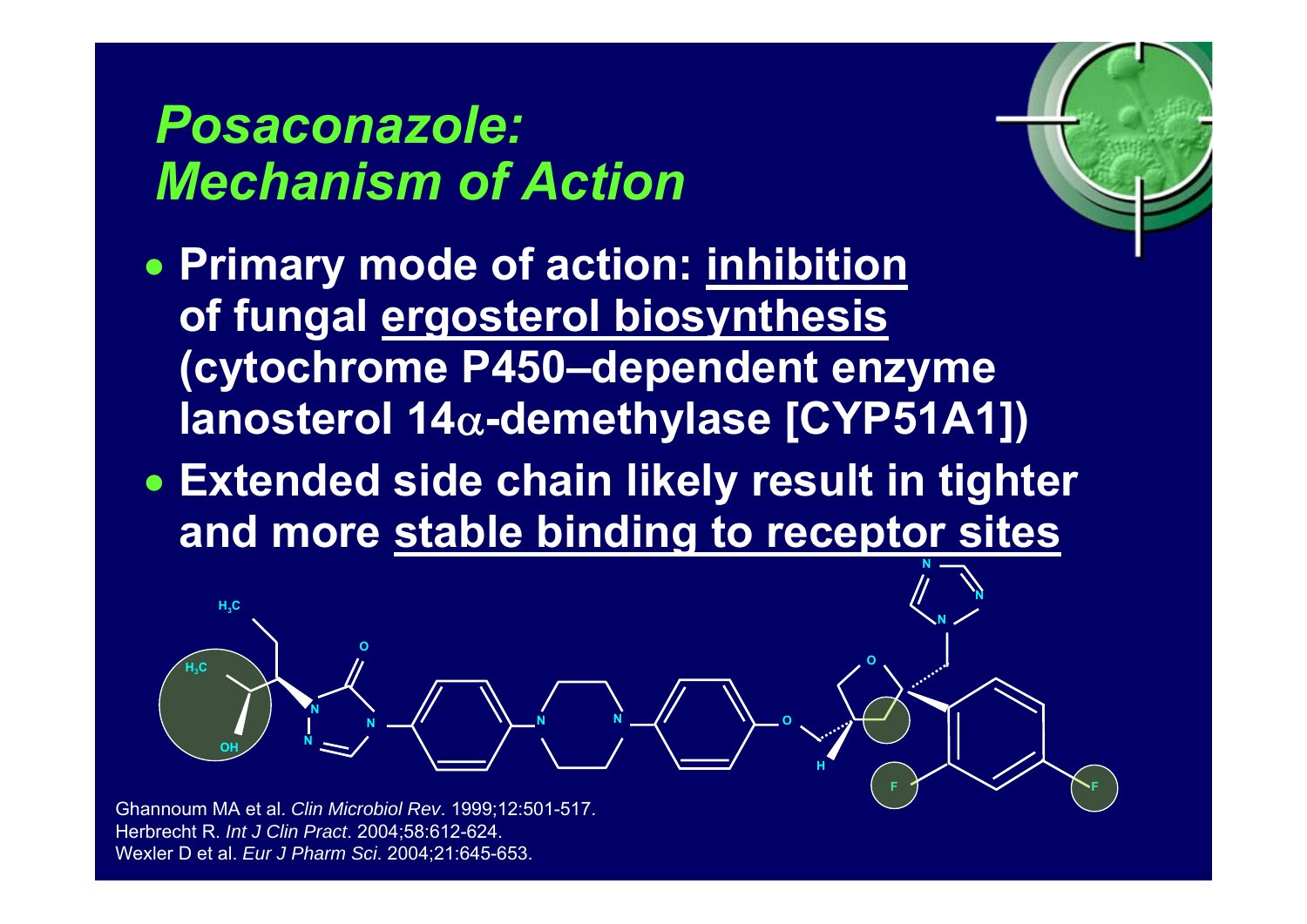### *Posaconazole: Mechanism of Action*

• **Primary mode of action: inhibition of fungal ergosterol biosynthesis (cytochrome P450–dependent enzyme lanosterol 14** <sup>α</sup>**-demethylase [CYP51A1])**  $r_{\rm e}$ 

**F**

**N**

**N**

**F**

**O**

**O**

**H**

• **Extended side chain likely result in tighter and more stable binding to receptor sites N**

**N**

**N**

Ghannoum MA et al. *Clin Microbiol Rev*. 1999;12:501-517. Herbrecht R. *Int J Clin Pract*. 2004;58:612-624. Wexler D et al. *Eur J Pharm Sci*. 2004;21:645-653.

**N**

**O**

**N**

**OH**

**H3C**

**H3C**

**N**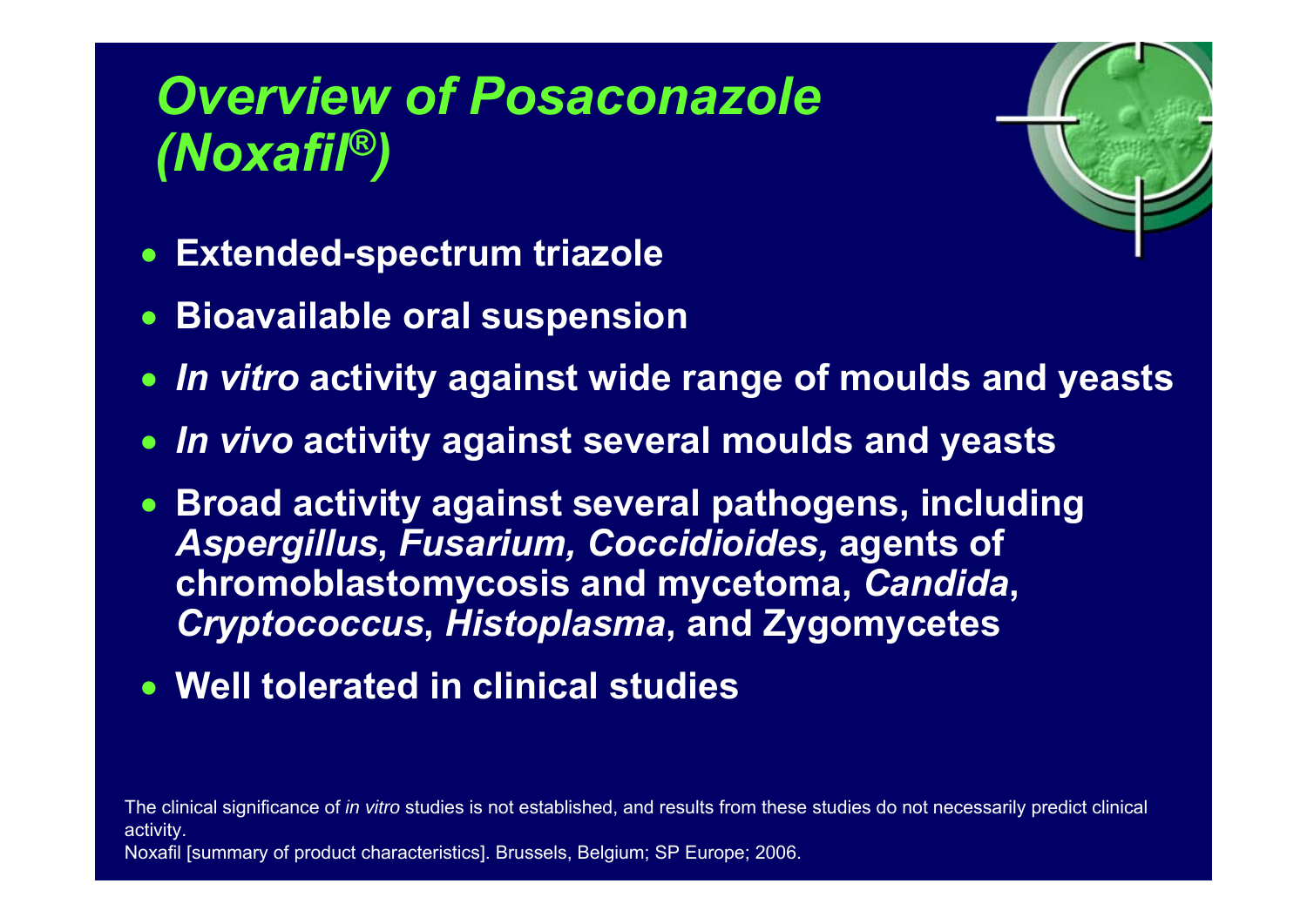# *Overview of Posaconazole (Noxafil®)*



- $\bullet$ **Extended-spectrum triazole**
- **Bioavailable oral suspension**
- $\bullet$ *In vitro* **activity against wide range of moulds and yeasts**
- *In vivo* **activity against several moulds and yeasts**
- **Broad activity against several pathogens, including**  *Aspergillus***,** *Fusarium, Coccidioides,* **agents of chromoblastomycosis and mycetoma,** *Candida***,**  *Cryptococcus***,** *Histoplasma***, and Zygomycetes**
- **Well tolerated in clinical studies**

The clinical significance of *in vitro* studies is not established, and results from these studies do not necessarily predict clinical activity.

Noxafil [summary of product characteristics]. Brussels, Belgium; SP Europe; 2006.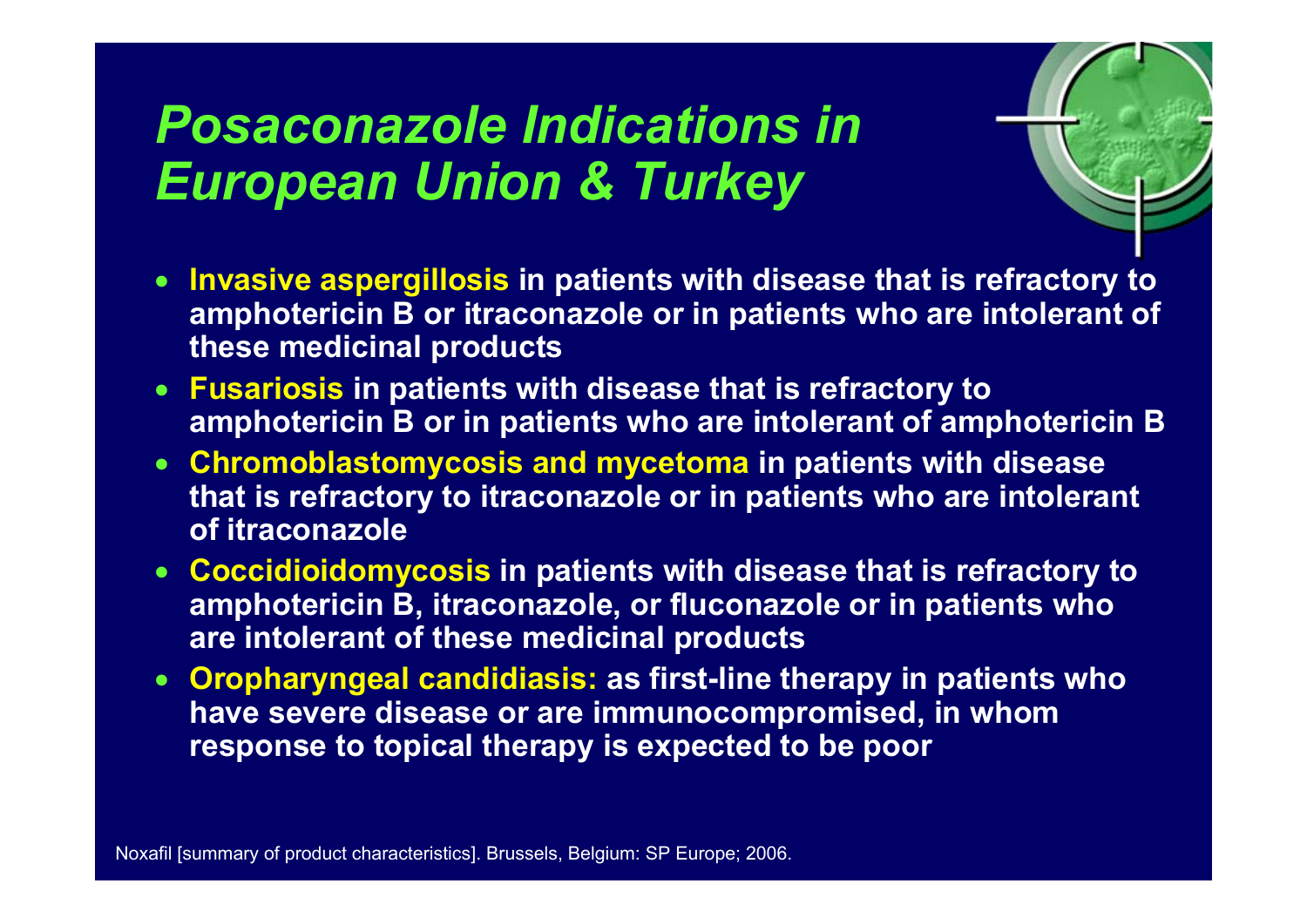### *Posaconazole Indications in European Union & Turkey*



- • **Invasive aspergillosis in patients with disease that is refractory to amphotericin B or itraconazole or in patients who are intolerant of these medicinal products**
- • **Fusariosis in patients with disease that is refractory to amphotericin B or in patients who are intolerant of amphotericin B**
- **Chromoblastomycosis and mycetoma in patients with disease that is refractory to itraconazole or in patients who are intolerant of itraconazole**
- • **Coccidioidomycosis in patients with disease that is refractory to amphotericin B, itraconazole, or fluconazole or in patients who are intolerant of these medicinal products**
- • **Oropharyngeal candidiasis: as first-line therapy in patients who have severe disease or are immunocompromised, in whom response to topical therapy is expected to be poor**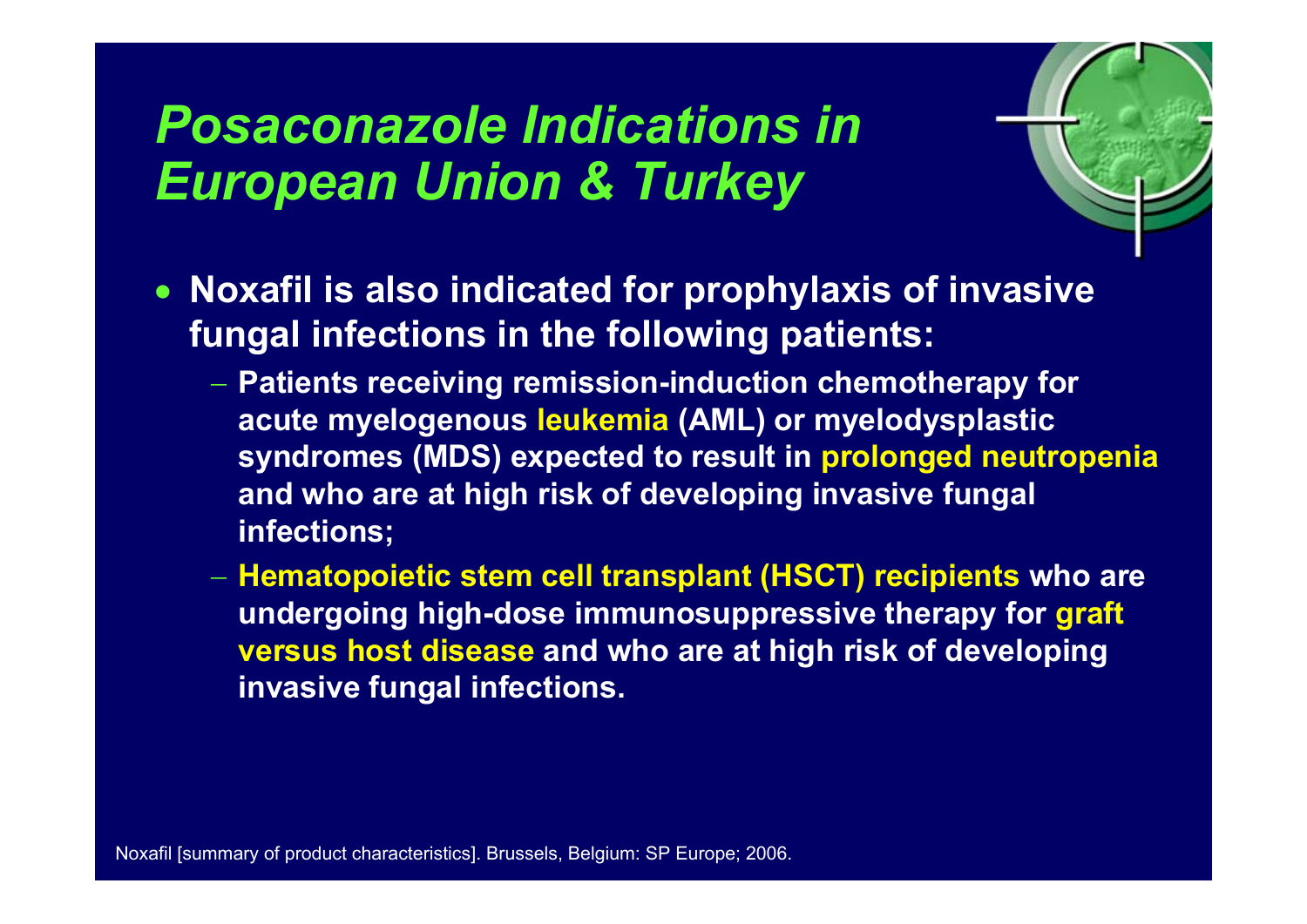### *Posaconazole Indications in European Union & Turkey*



- **Noxafil is also indicated for prophylaxis of invasive fungal infections in the following patients:**
	- **Patients receiving remission-induction chemotherapy for acute myelogenous leukemia (AML) or myelodysplastic syndromes (MDS) expected to result in prolonged neutropenia and who are at high risk of developing invasive fungal infections;**
	- **Hematopoietic stem cell transplant (HSCT) recipients who are undergoing high-dose immunosuppressive therapy for graft versus host disease and who are at high risk of developing invasive fungal infections.**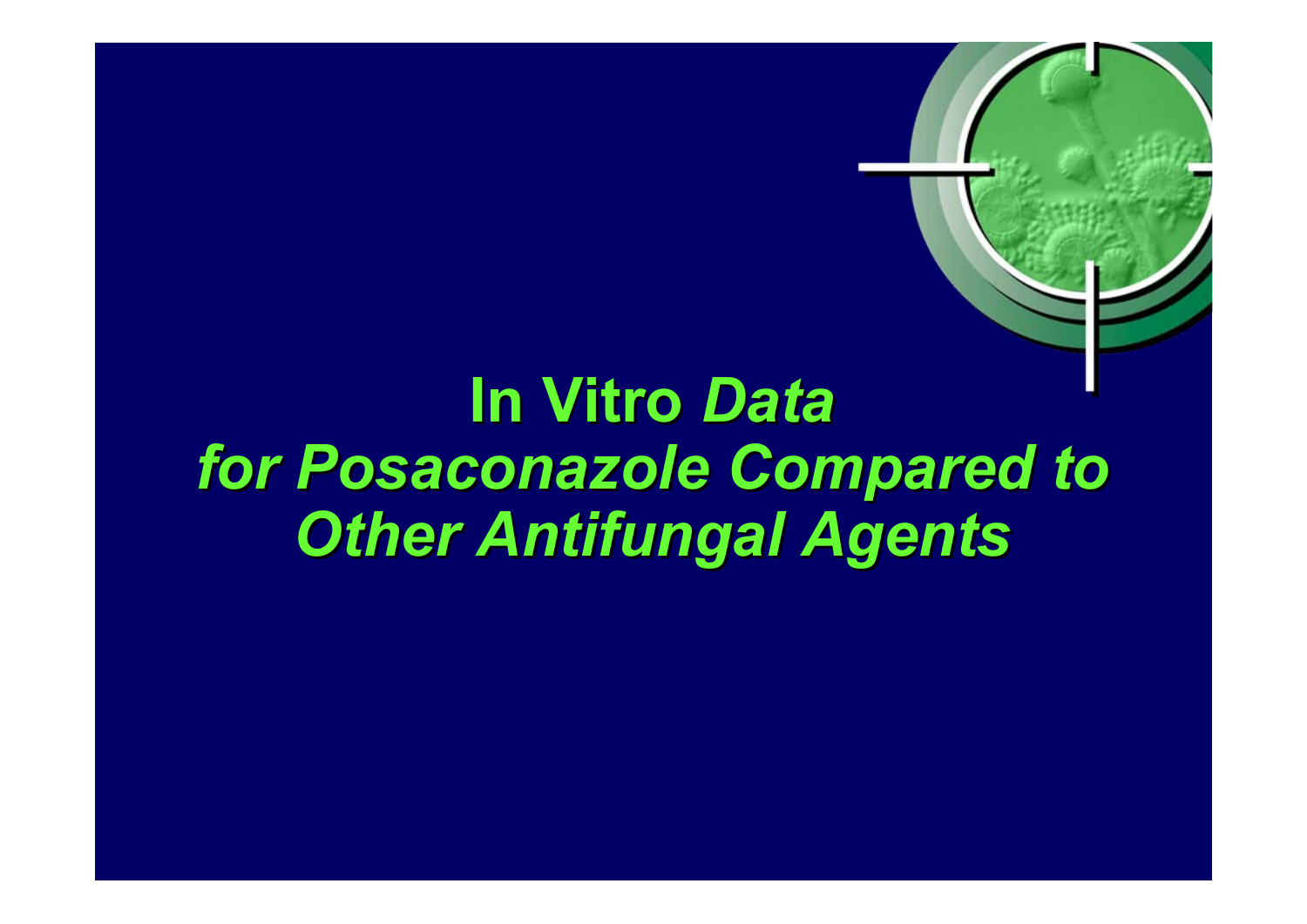# **In Vitro In Vitro** *Data for Posaconazole Compared to for Posaconazole Compared to Other Antifungal Agents Other Antifungal Agents*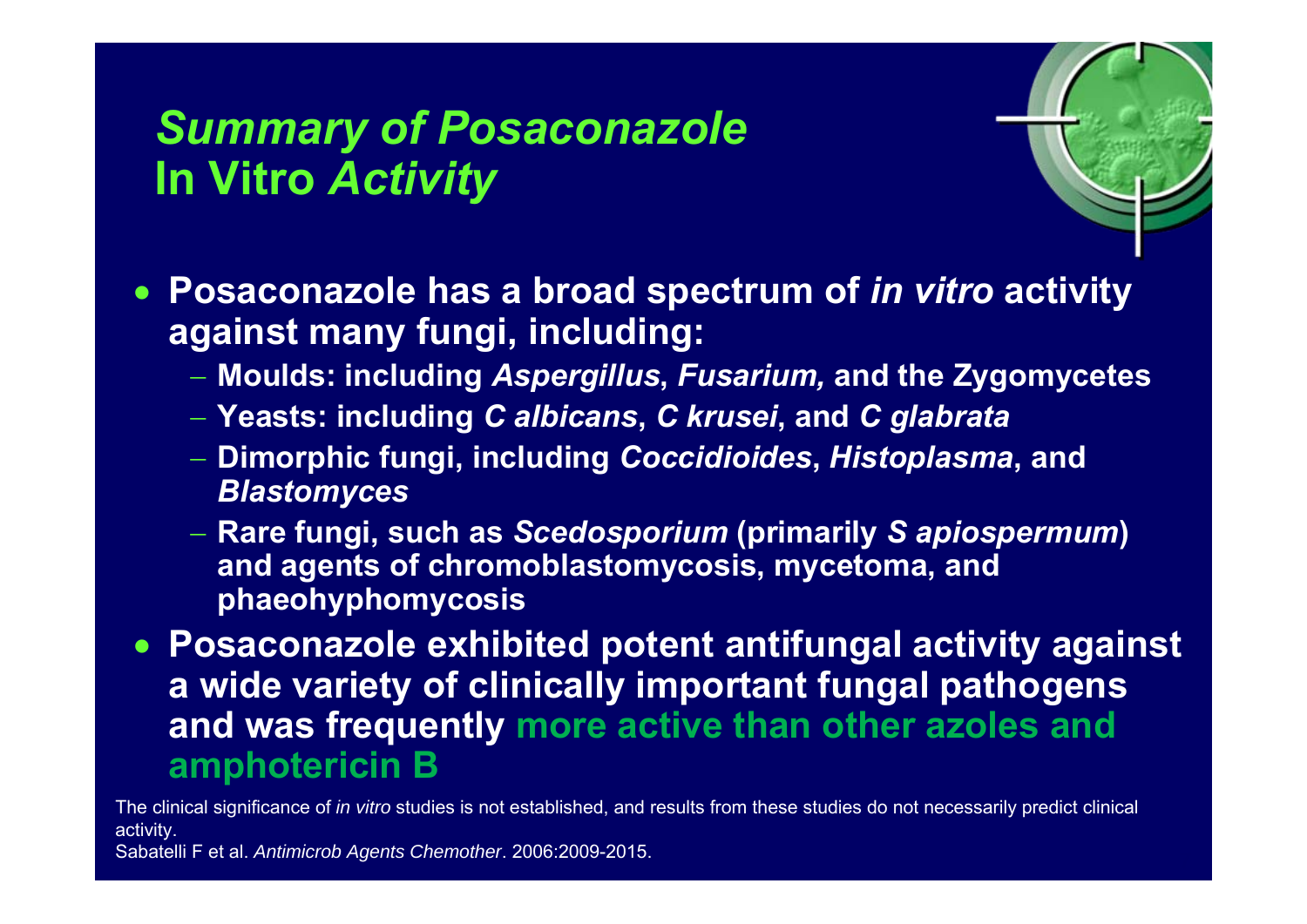### *Summary of Posaconazole* **In Vitro** *Activity*



- **Posaconazole has a broad spectrum of** *in vitro* **activity against many fungi, including:**
	- **Moulds: including** *Aspergillus***,** *Fusarium,* **and the Zygomycetes**
	- **Yeasts: including** *C albicans***,** *C krusei***, and** *C glabrata*
	- **Dimorphic fungi, including** *Coccidioides***,** *Histoplasma***, and**  *Blastomyces*
	- **Rare fungi, such as** *Scedosporium* **(primarily** *S apiospermum***) and agents of chromoblastomycosis, mycetoma, and phaeohyphomycosis**
- **Posaconazole exhibited potent antifungal activity against a wide variety of clinically important fungal pathogens and was frequently more active than other azoles and amphotericin B**

The clinical significance of *in vitro* studies is not established, and results from these studies do not necessarily predict clinical activity.

Sabatelli F et al. *Antimicrob Agents Chemother*. 2006:2009-2015.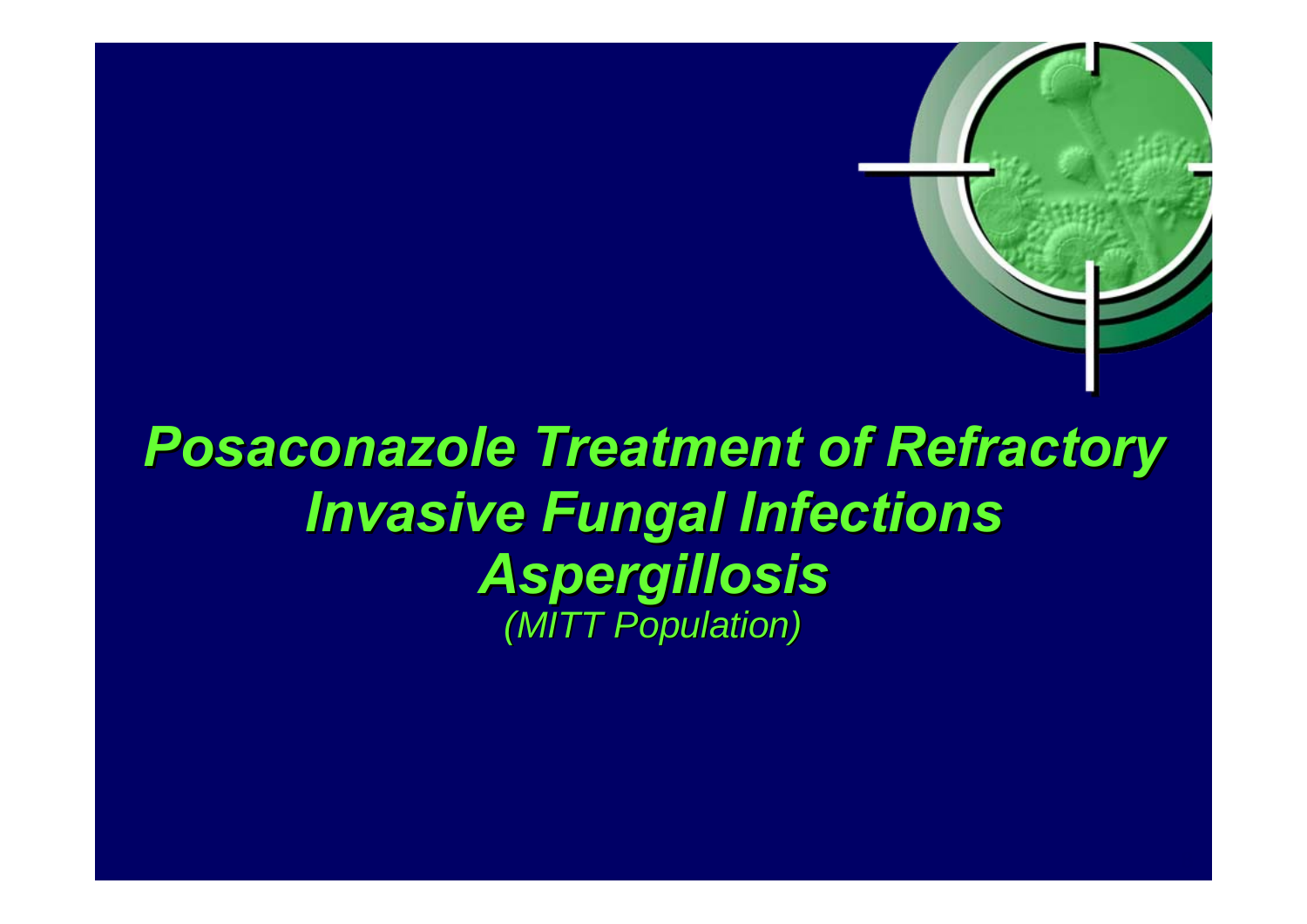# **Posaconazole Treatment of Refractory** *Invasive Fungal Infections Invasive Fungal Infections Aspergillosis Aspergillosis (MITT Population) (MITT Population)*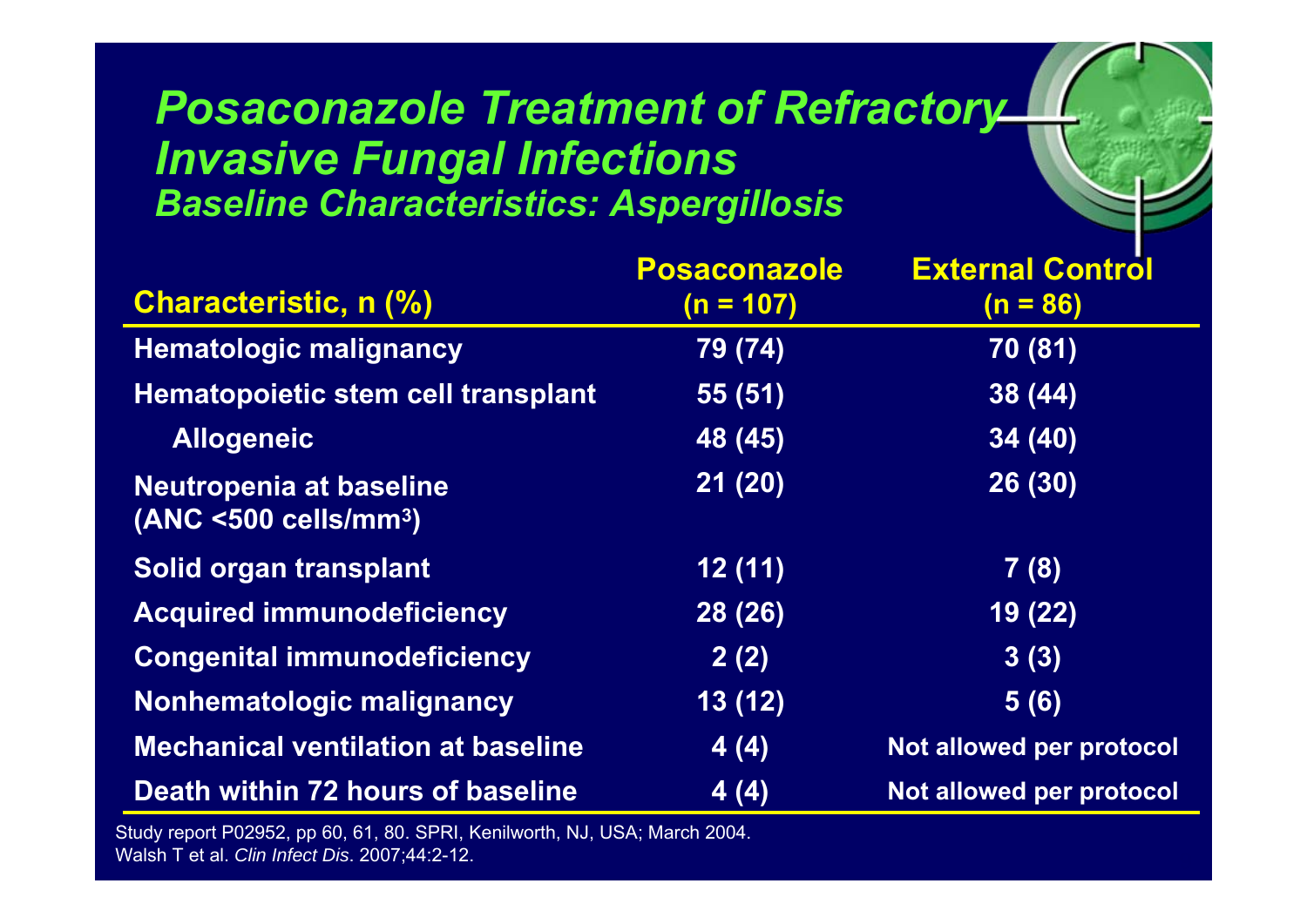#### **Posaconazole Treatment of Refractory** *Invasive Fungal Infections Baseline Characteristics: Aspergillosis*

 $r_{\rm e}$ 

| <b>Characteristic, n (%)</b>                                    | <b>Posaconazole</b>               | <b>External Control</b>  |
|-----------------------------------------------------------------|-----------------------------------|--------------------------|
|                                                                 | $(n = 107)$                       | $(n = 86)$               |
| <b>Hematologic malignancy</b>                                   | 79 (74)                           | 70 (81)                  |
| Hematopoietic stem cell transplant                              | 55(51)                            | 38(44)                   |
| <b>Allogeneic</b>                                               | 48 (45)                           | 34(40)                   |
| Neutropenia at baseline<br>$(ANC < 500$ cells/mm <sup>3</sup> ) | 21(20)                            | 26 (30)                  |
| Solid organ transplant                                          | 12(11)                            | 7(8)                     |
| <b>Acquired immunodeficiency</b>                                | 28 (26)                           | 19 (22)                  |
| <b>Congenital immunodeficiency</b>                              | 2(2)                              | 3(3)                     |
| Nonhematologic malignancy                                       | $\overline{13}$ $\overline{(12)}$ | 5(6)                     |
| <b>Mechanical ventilation at baseline</b>                       | 4(4)                              | Not allowed per protocol |
| Death within 72 hours of baseline                               | 4(4)                              | Not allowed per protocol |

Study report P02952, pp 60, 61, 80. SPRI, Kenilworth, NJ, USA; March 20 04. Walsh T et al. *Clin Infect Dis*. 2007;44:2-12.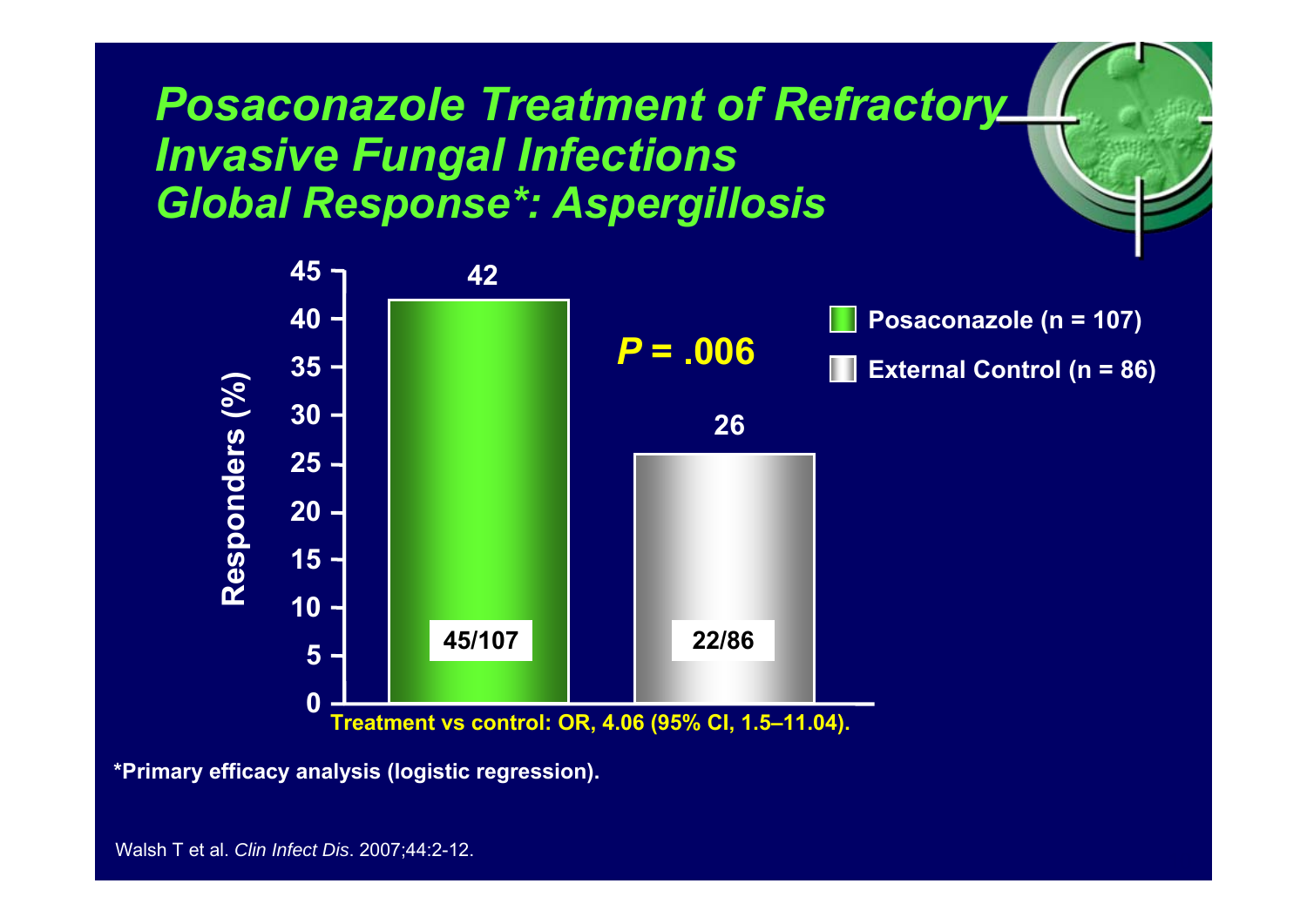#### *Posaconazole Treatment of Refractory Invasive Fungal Infections Global Response\*: Aspergillosis*



 $r_{\rm e}$ 

**\*Primary efficacy analysis (logistic regression).**

Walsh T et al. *Clin Infect Dis*. 2007;44:2-12.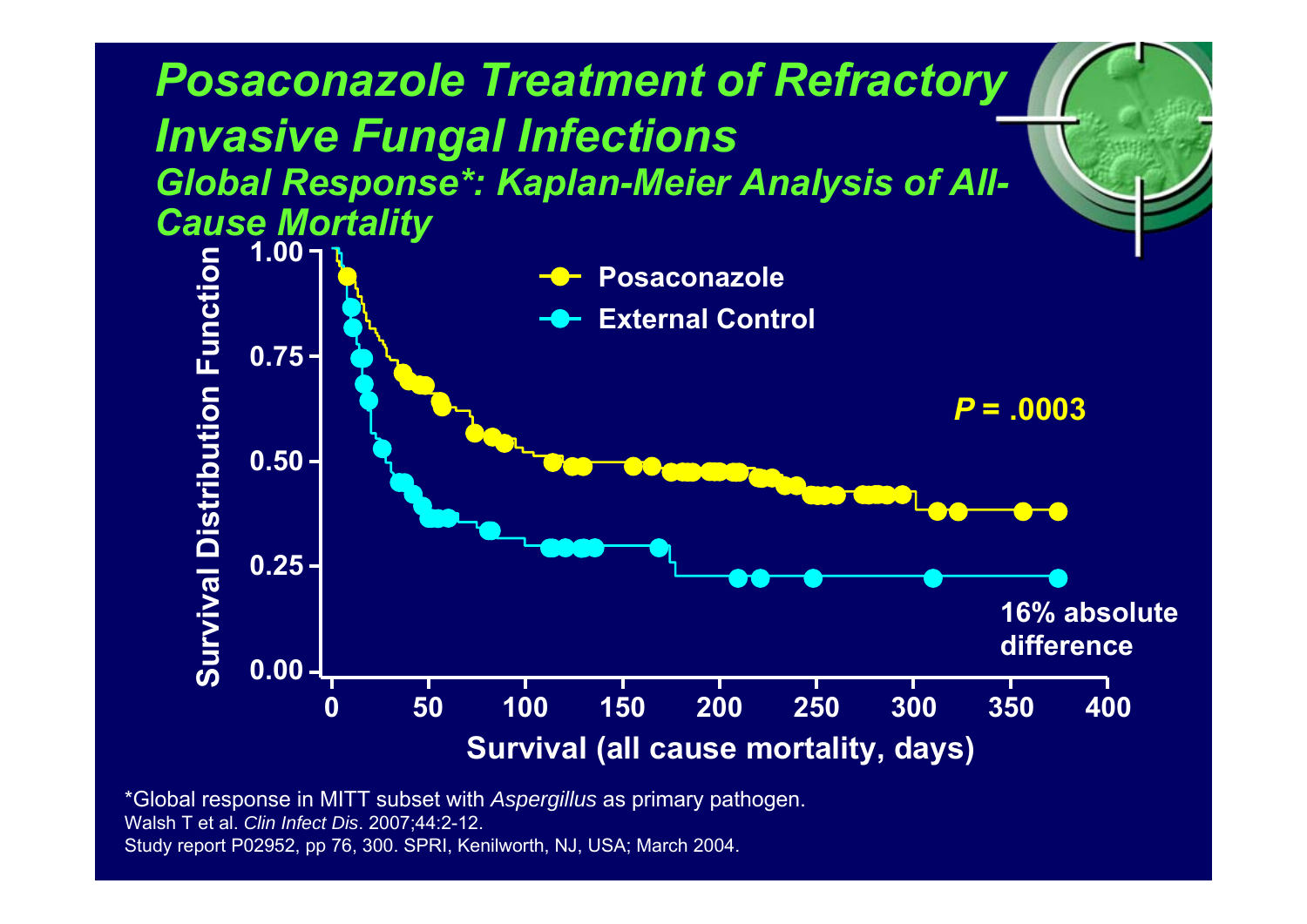

\*Global response in MITT subset with *Aspergillus* as primary pathogen. Walsh T et al. *Clin Infect Dis*. 2007;44:2-12. Study report P02952, pp 76, 300. SPRI, Kenilworth, NJ, USA; March 2004.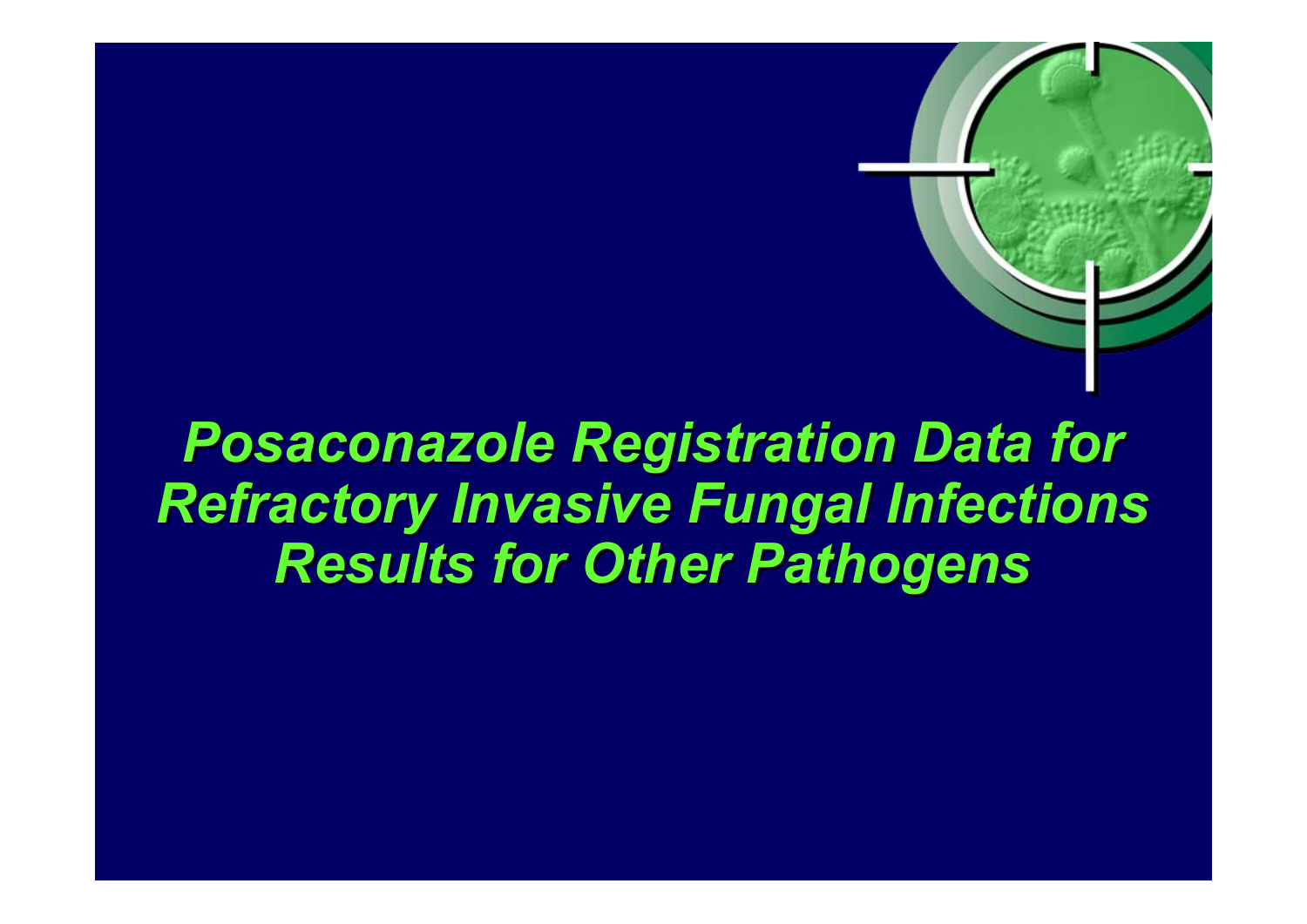# **Posaconazole Registration Data for Refractory Invasive Fungal Infections** *Results for Other Pathogens Results for Other Pathogens*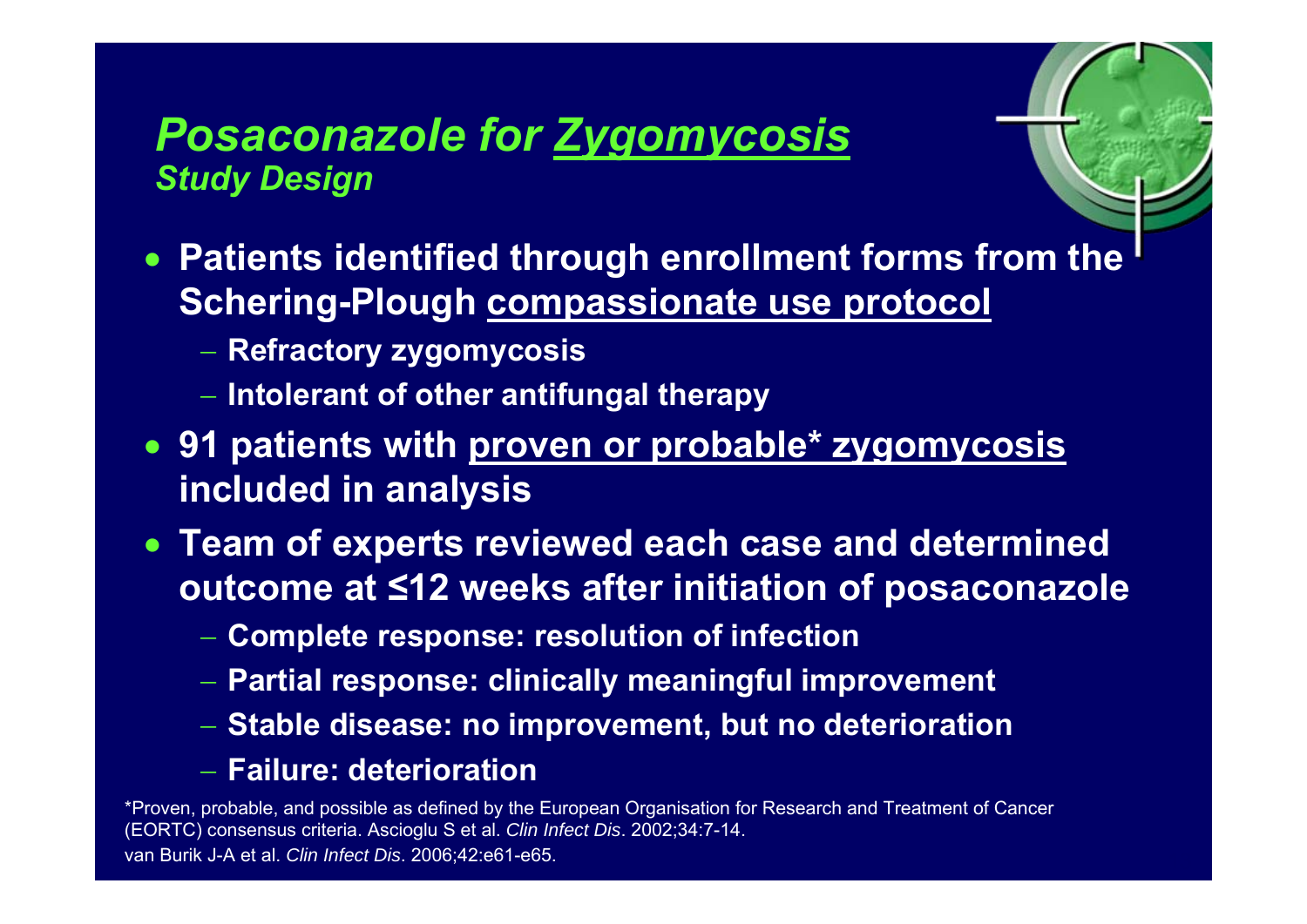#### *Posaconazole for Zygomycosis Study Design*

• **Patients identified through enrollment forms from the Schering-Plough compassionate use protocol**

 $r_{\rm e}$ 

- **Refractory zygomycosis**
- **Intolerant of other antifungal therapy**
- **91 patients with proven or probable\* zygomycosis included in analysis**
- **Team of experts reviewed each case and determined outcome at ≤12 weeks after initiation of posaconazole**
	- **Complete response: resolution of infection**
	- **Partial response: clinically meaningful improvement**
	- **Stable disease: no improvement, but no deterioration**

#### − **Failure: deterioration**

\*Proven, probable, and possible as defined by the European Organisation for Research and Treatment of Cancer (EORTC) consensus criteria. Ascioglu S et al. *Clin Infect Dis*. 2002;34:7-14. van Burik J-A et al. *Clin Infect Dis*. 2006;42:e61-e65.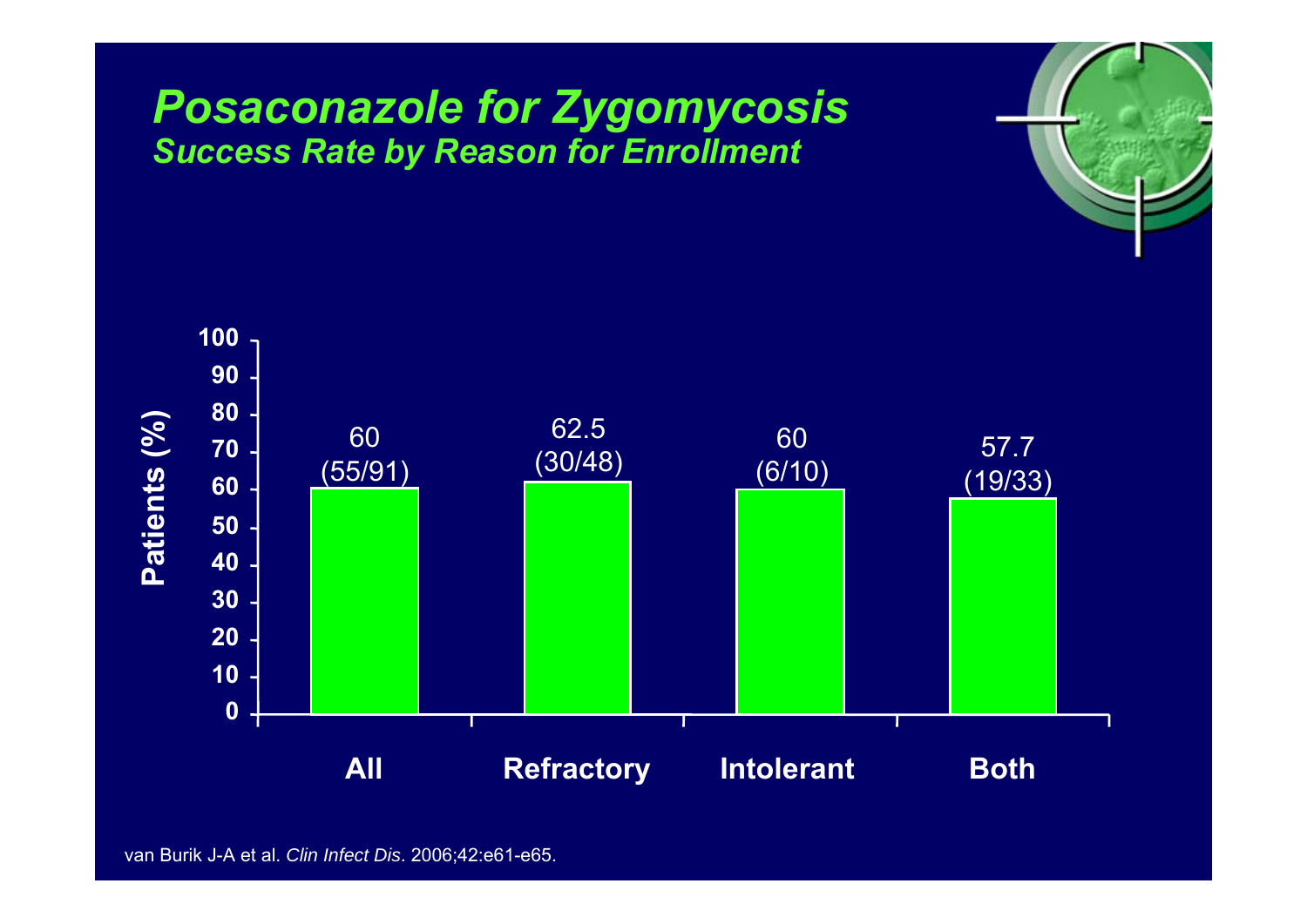#### *Posaconazole for Zygomycosis Success Rate by Reason for Enrollment*



 $r_{\rm e}$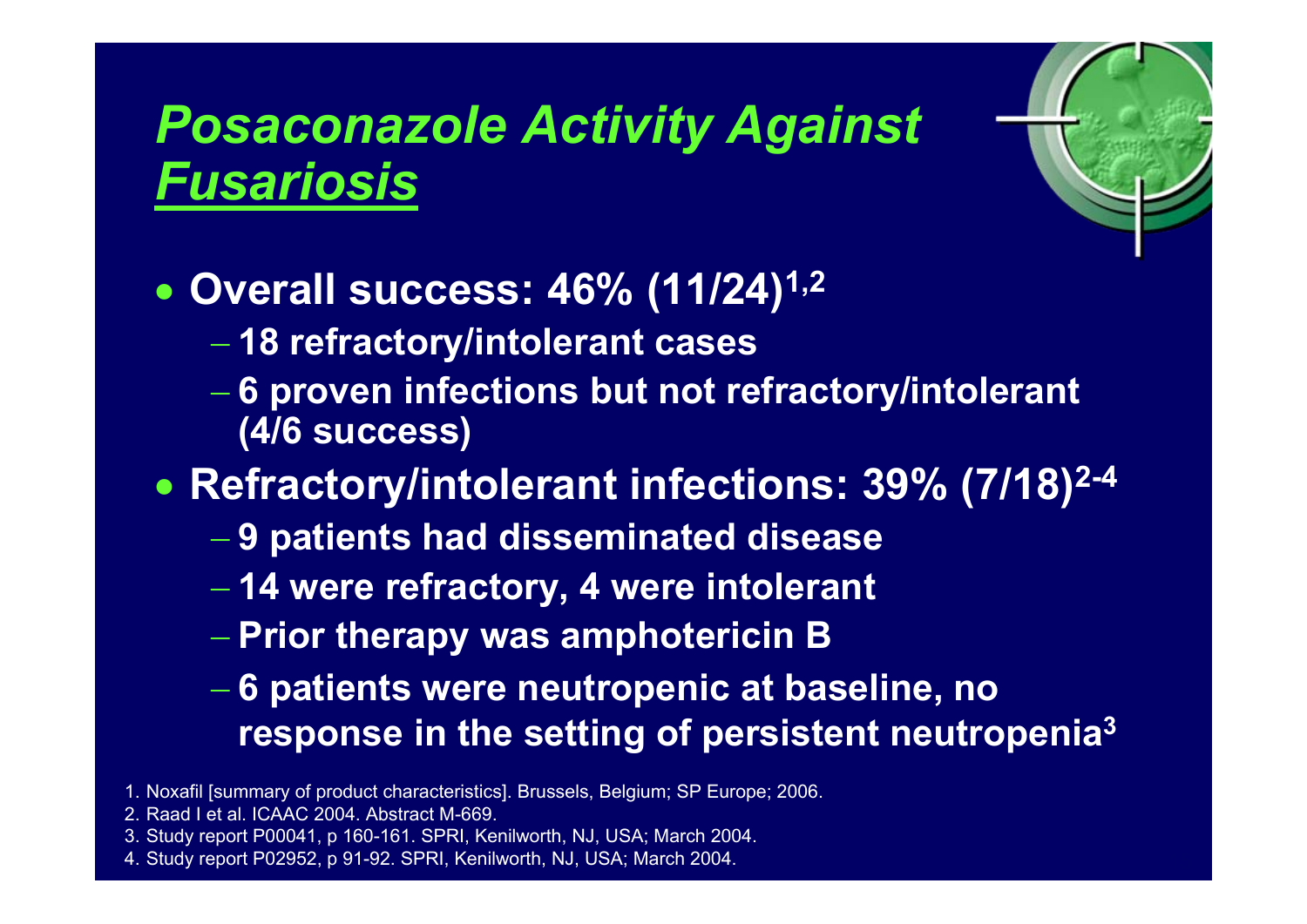# *Posaconazole Activity Against Fusariosis*



 $\bullet$ **Overall success: 46% (11/24)1,2**

- **18 refractory/intolerant cases**
- **6 proven infections but not refractory/intolerant (4/6 success)**

 $\bullet$ **Refractory/intolerant infections: 39% (7/18)2-4**

- **9 patients had disseminated disease**
- **14 were refractory, 4 were intolerant**
- **Prior therapy was amphotericin B**
- **6 patients were neutropenic at baseline, no response in the setting of persistent neutropenia 3**
- 1. Noxafil [summary of product characteristics]. Brussels, Belgium; SP Europe; 2006.
- 2. Raad I et al. ICAAC 2004. Abstract M-669.
- 3. Study report P00041, p 160-161. SPRI, Kenilworth, NJ, USA; March 2004.
- 4. Study report P02952, p 91-92. SPRI, Kenilworth, NJ, USA; March 2004.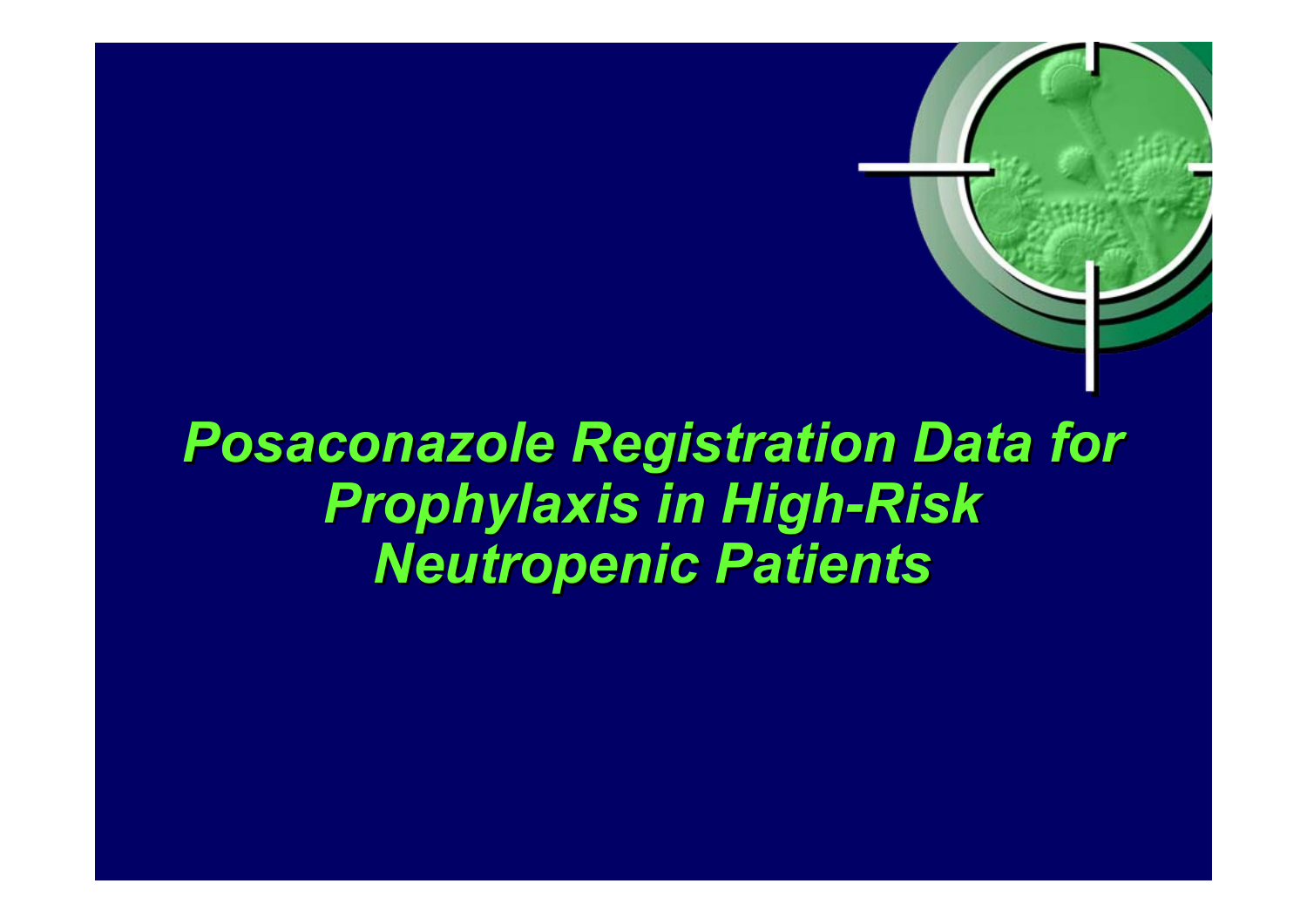# **Posaconazole Registration Data for** *Prophylaxis in High Prophylaxis in High -Risk Neutropenic Patients Neutropenic Patients*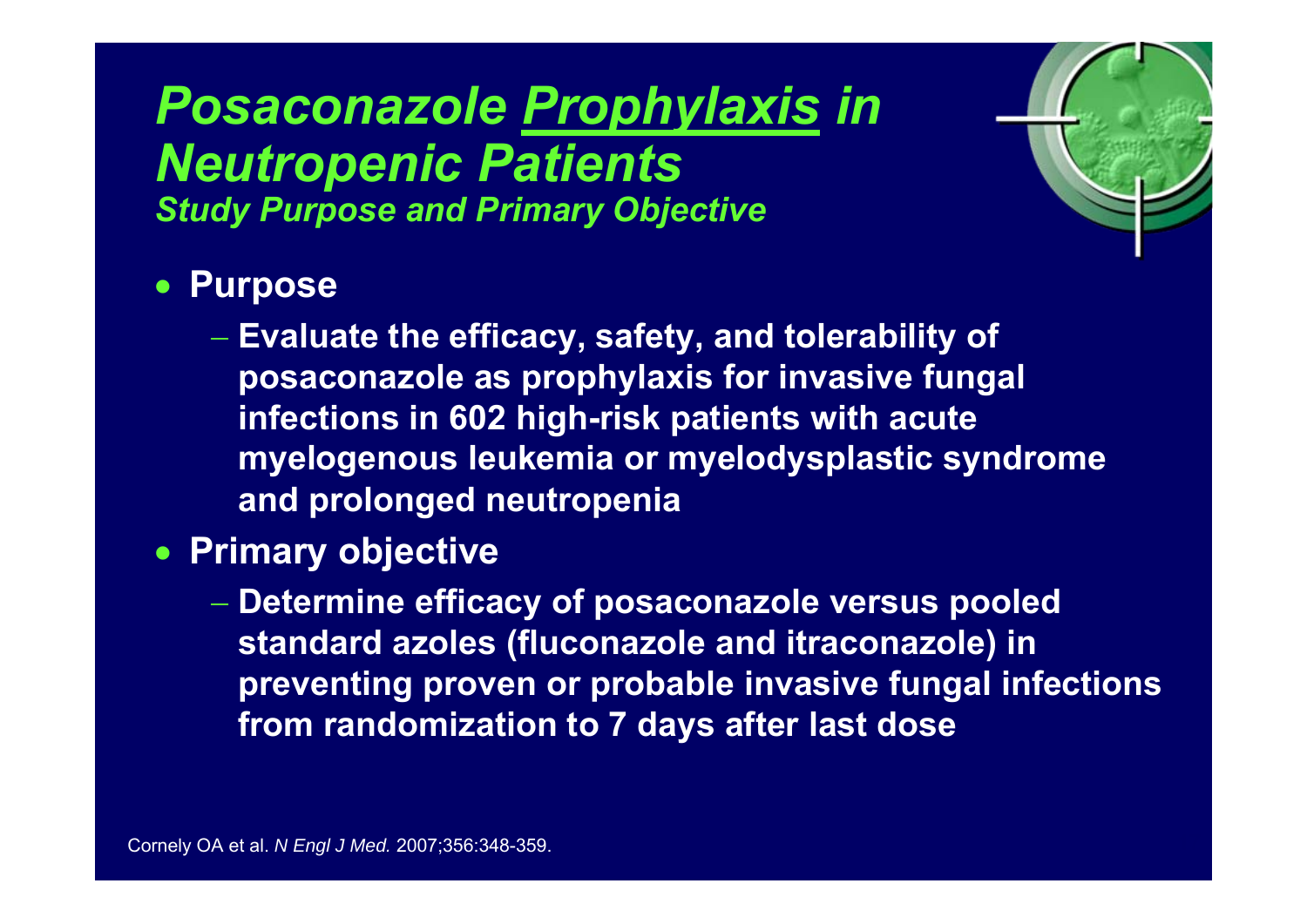#### *Posaconazole Prophylaxis in Neutropenic Patients Study Purpose and Primary Objective*

#### • **Purpose**

 **Evaluate the efficacy, safety, and tolerability of posaconazole as prophylaxis for invasive fungal infections in 602 high-risk patients with acute myelogenous leukemia or myelodysplastic syndrome and prolonged neutropenia**

 $r_{\rm e}$ 

- **Primary objective**
	- **Determine efficacy of posaconazole versus pooled standard azoles (fluconazole and itraconazole) in preventing proven or probable invasive fungal infections from randomization to 7 days after last dose**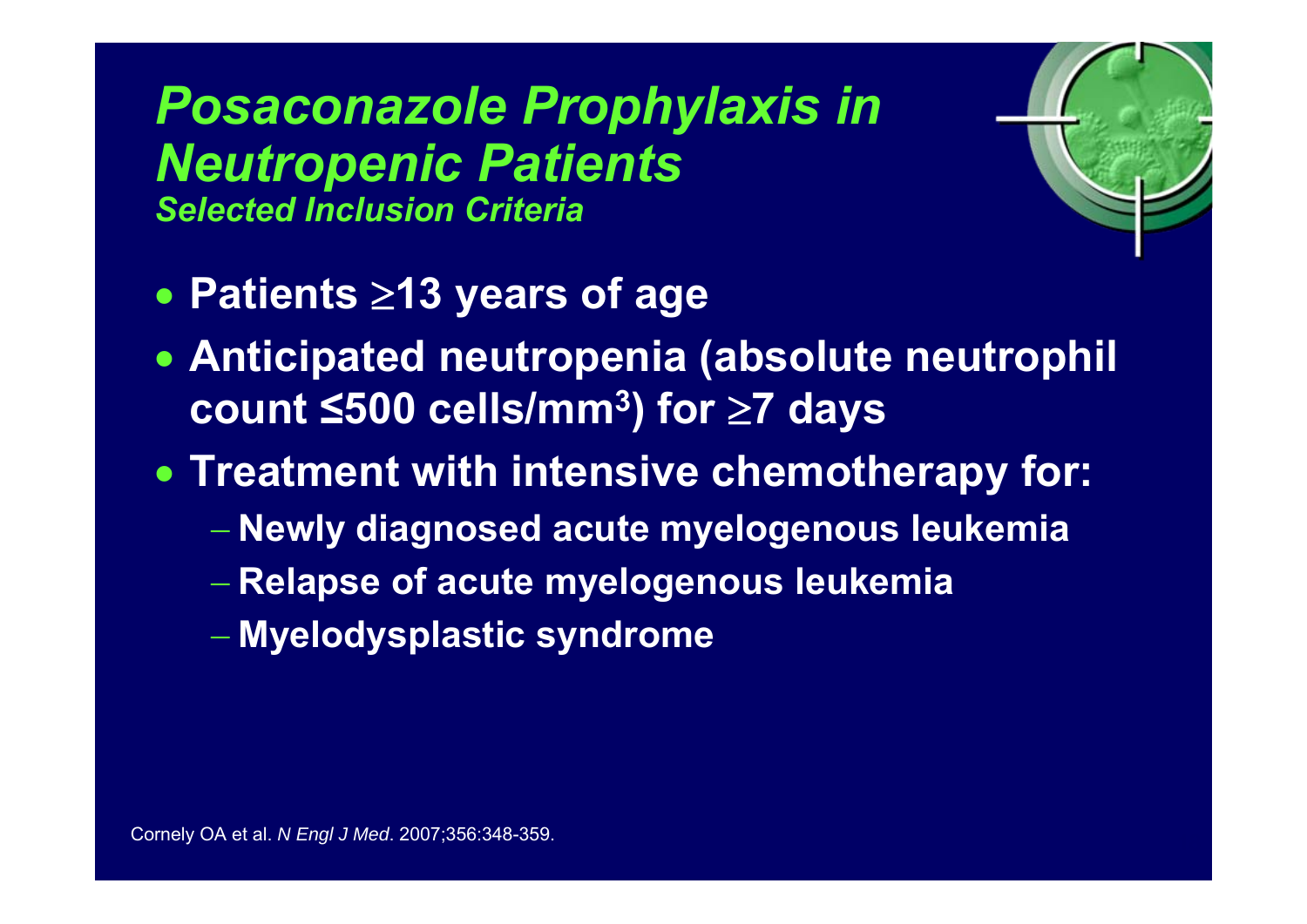# *Posaconazole Prophylaxis in Neutropenic Patients*

*Selected Inclusion Criteria*

- **Patients**  <sup>≥</sup>**13 years of age**
- **Anticipated neutropenia (absolute neutrophil count ≤500 cells/mm 3) for**  <sup>≥</sup>**7 days**

 $r_{\rm e}$ 

- **Treatment with intensive chemotherapy for:**
	- **Newly diagnosed acute myelogenous leukemia**
	- **Relapse of acute myelogenous leukemia**
	- **Myelodysplastic syndrome**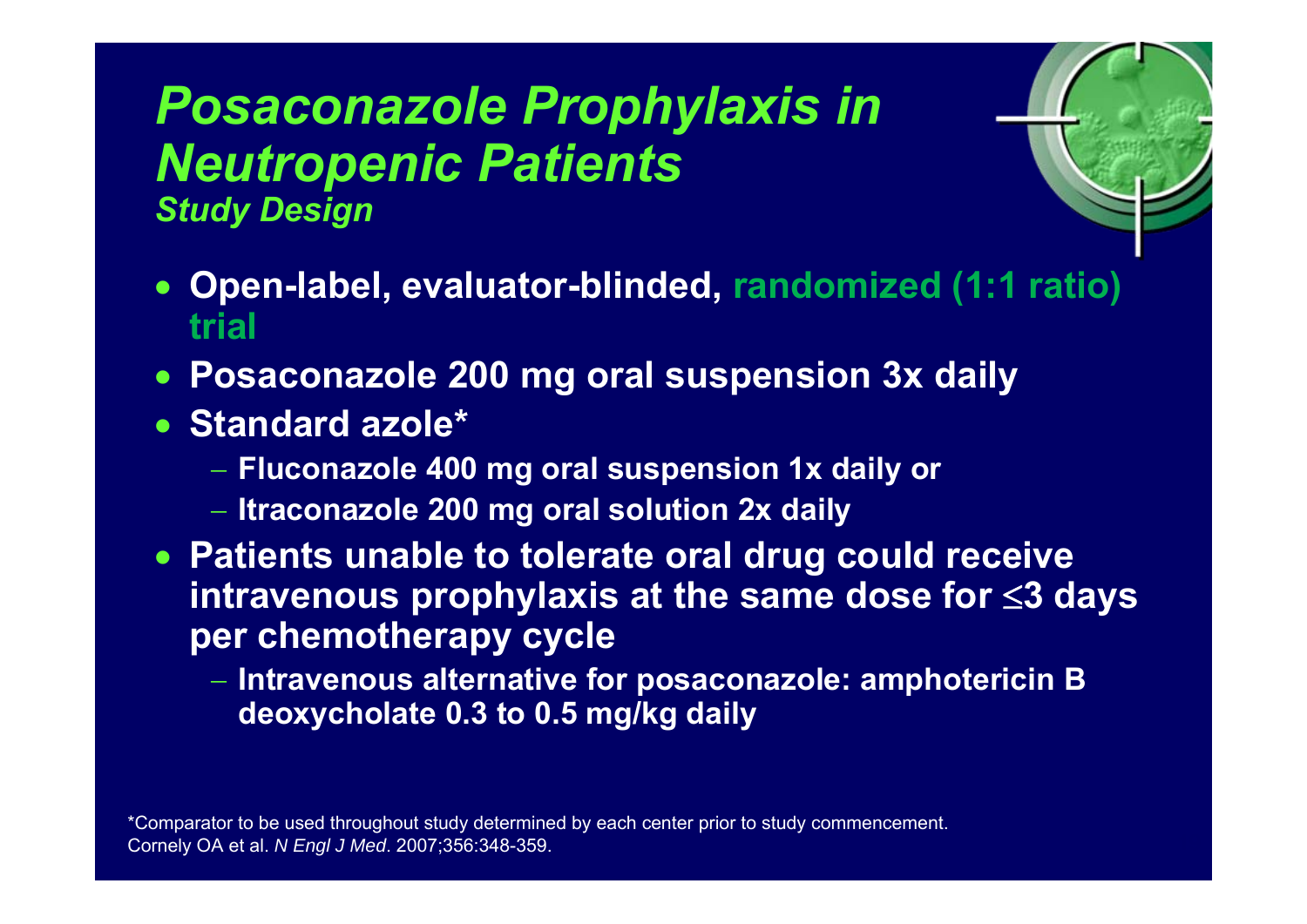### *Posaconazole Prophylaxis in Neutropenic Patients Study Design*



- $\bullet$  **Open-label, evaluator-blinded, randomized (1:1 ratio) trial**
- **Posaconazole 200 mg oral suspension 3x daily**
- **Standard azole\***
	- **Fluconazole 400 mg oral suspension 1x daily or**
	- **Itraconazole 200 mg oral solution 2x daily**
- **Patients unable to tolerate oral drug could receive intravenous prophylaxis at the same dose for**  <sup>≤</sup>**3 days per chemotherapy cycle**
	- **Intravenous alternative for posaconazole: amphotericin B deoxycholate 0.3 to 0.5 mg/kg daily**

\*Comparator to be used throughout study determined by each center prior to study commencement. Cornely OA et al. *N Engl J Med*. 2007;356:348-359.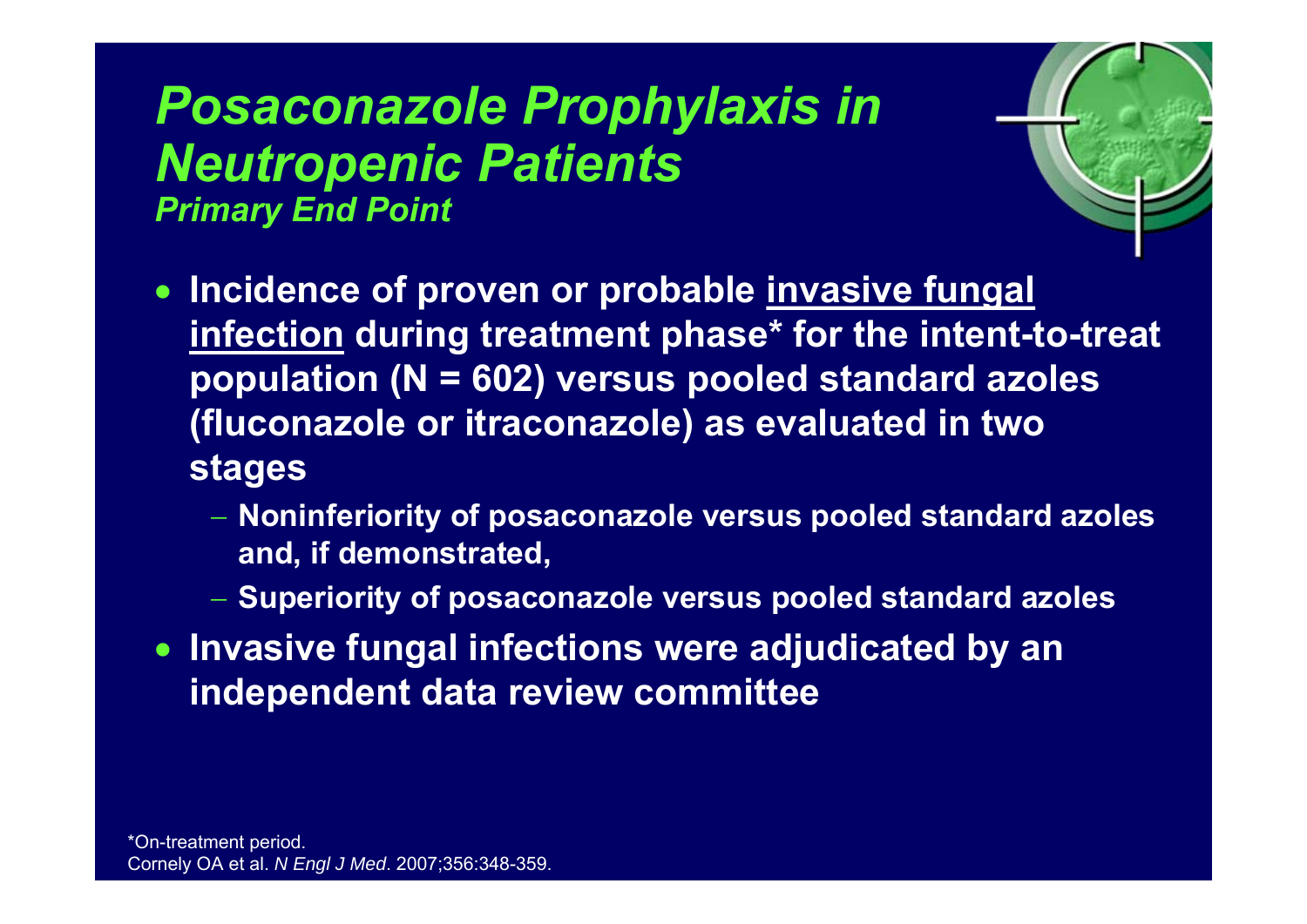### *Posaconazole Prophylaxis in Neutropenic Patients Primary End Point*



- **Incidence of proven or probable invasive fungal infection during treatment phase\* for the intent-to-treat population (N = 602) versus pooled standard azoles (fluconazole or itraconazole) as evaluated in two stages**
	- **Noninferiority of posaconazole versus pooled standard azoles and, if demonstrated,**
	- **Superiority of posaconazole versus pooled standard azoles**
- **Invasive fungal infections were adjudicated by an independent data review committee**

\*On-treatment period. Cornely OA et al. *N Engl J Med*. 2007;356:348-359.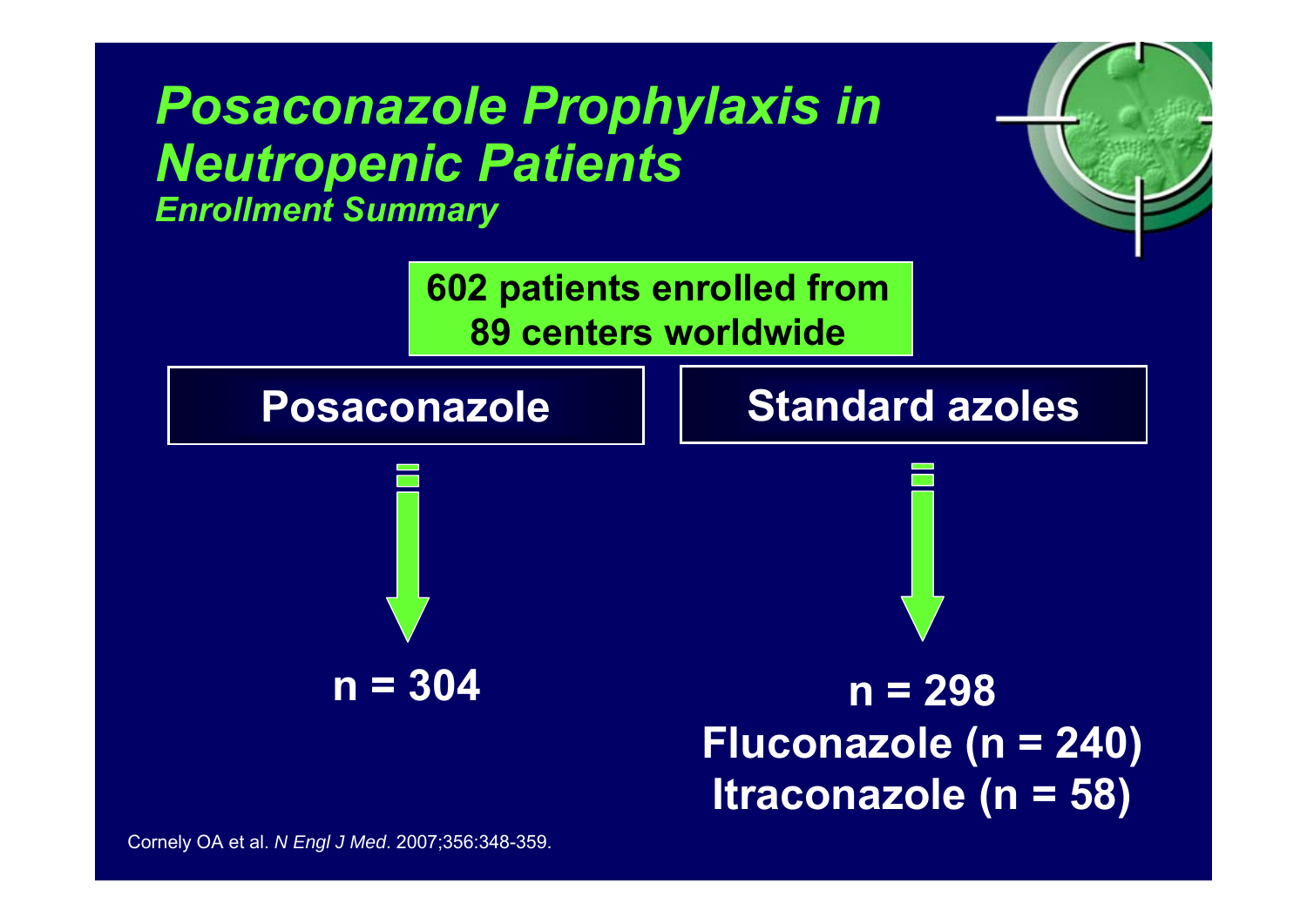### *Posaconazole Prophylaxis in Neutropenic Patients*

*Enrollment Summary*

**602 patients enrolled from 89 centers worldwide**

#### **Posaconazole**



#### **Standard azoles**

 $r_{\rm e}$ 

**n = 304 n = 298 Fluconazole (n = 240) Itraconazole (n = 58)**

Cornely OA et al. *N Engl J Med*. 2007;356:348-359.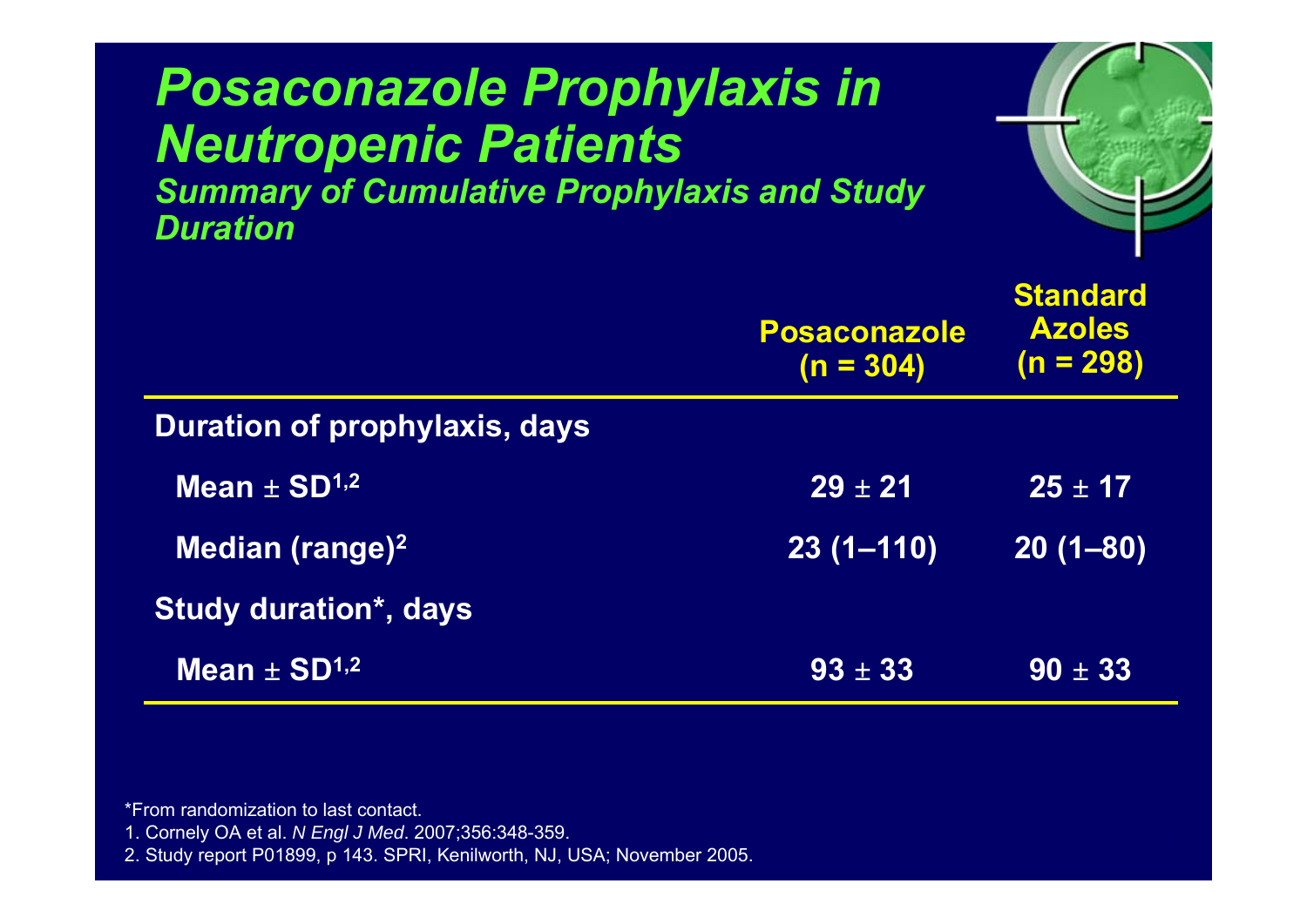| <b>Posaconazole Prophylaxis in</b><br><b>Neutropenic Patients</b><br><b>Summary of Cumulative Prophylaxis and Study</b><br><b>Duration</b> |                                      |                                                 |  |
|--------------------------------------------------------------------------------------------------------------------------------------------|--------------------------------------|-------------------------------------------------|--|
|                                                                                                                                            | <b>Posaconazole</b><br>$(n = 304)$   | <b>Standard</b><br><b>Azoles</b><br>$(n = 298)$ |  |
| <b>Duration of prophylaxis, days</b>                                                                                                       |                                      |                                                 |  |
| Mean $\pm$ SD <sup>1,2</sup>                                                                                                               | $29 \pm 21$                          | $25 \pm 17$                                     |  |
| Median (range) <sup>2</sup>                                                                                                                | $\overline{23}$ $\overline{(1-110)}$ | $20(1 - 80)$                                    |  |
| <b>Study duration*, days</b>                                                                                                               |                                      |                                                 |  |
| Mean $\pm$ SD <sup>1,2</sup>                                                                                                               | $93 \pm 33$                          | $90 \pm 33$                                     |  |

\*From randomization to last contact.

1. Cornely OA et al. *N Engl J Med*. 2007;356:348-359.

2. Study report P01899, p 143. SPRI, Kenilworth, NJ, USA; November 2005.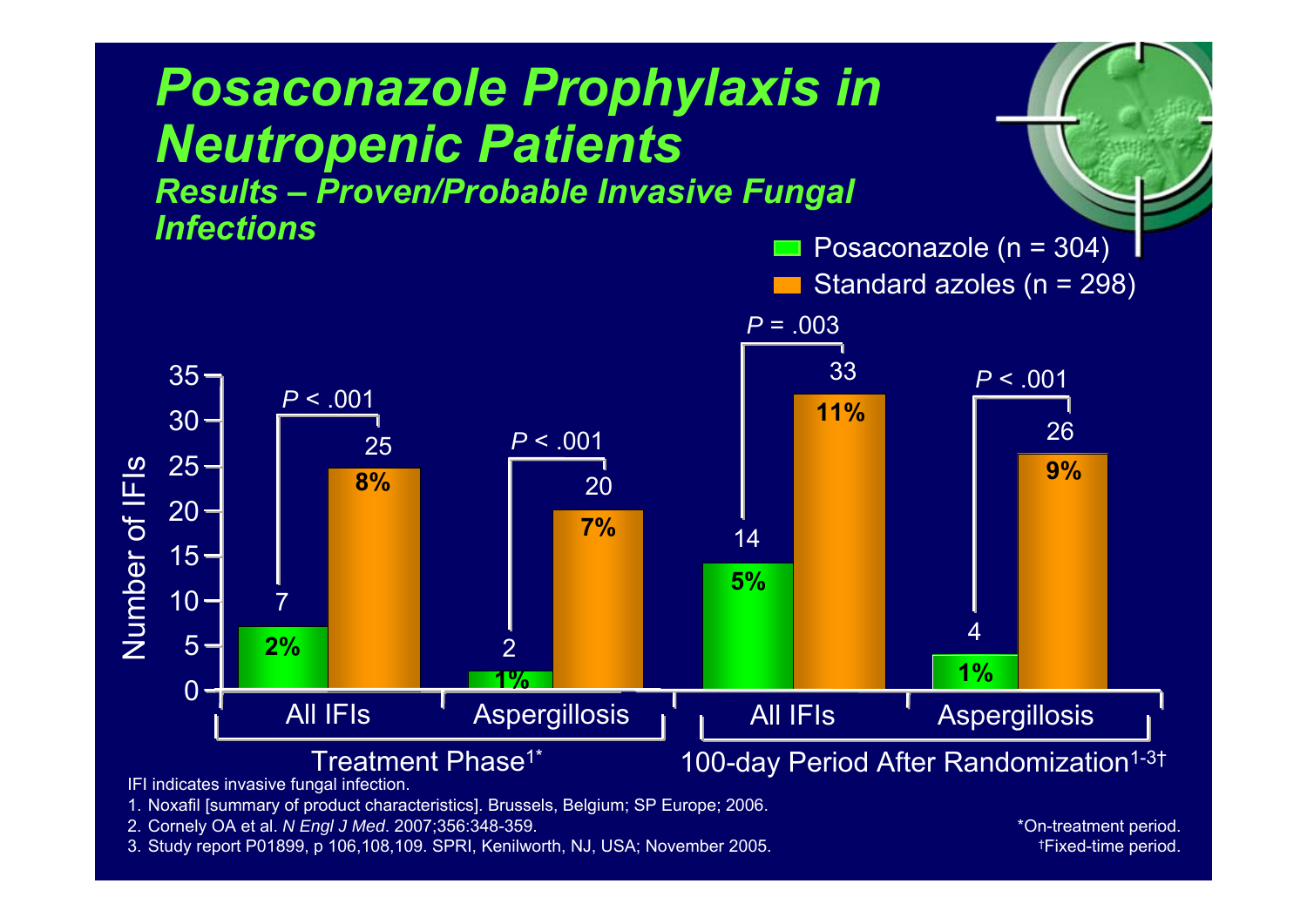

IFI indicates invasive fungal infection.

1. Noxafil [summary of product characteristics]. Brussels, Belgium; SP Europe; 2006.

- 2. Cornely OA et al. *N Engl J Med*. 2007;356:348-359.
- 3. Study report P01899, p 106,108,109. SPRI, Kenilworth, NJ, USA; November 2005.

\*On-treatment period.<br>. †Fixed-time period.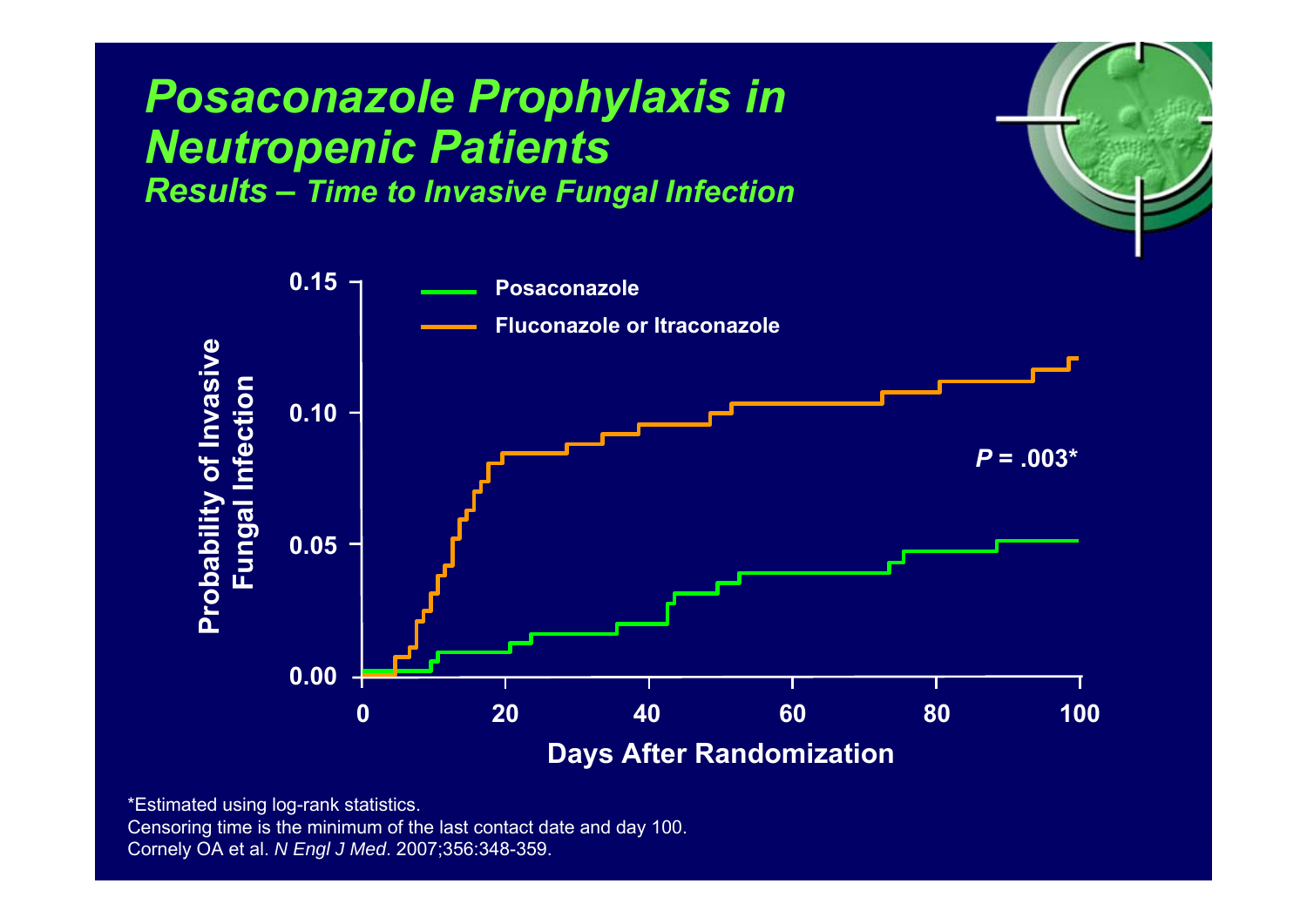

\*Estimated using log-rank statistics. Censoring time is the minimum of the last contact date and day 100. Cornely OA et al. *N Engl J Med*. 2007;356:348-359.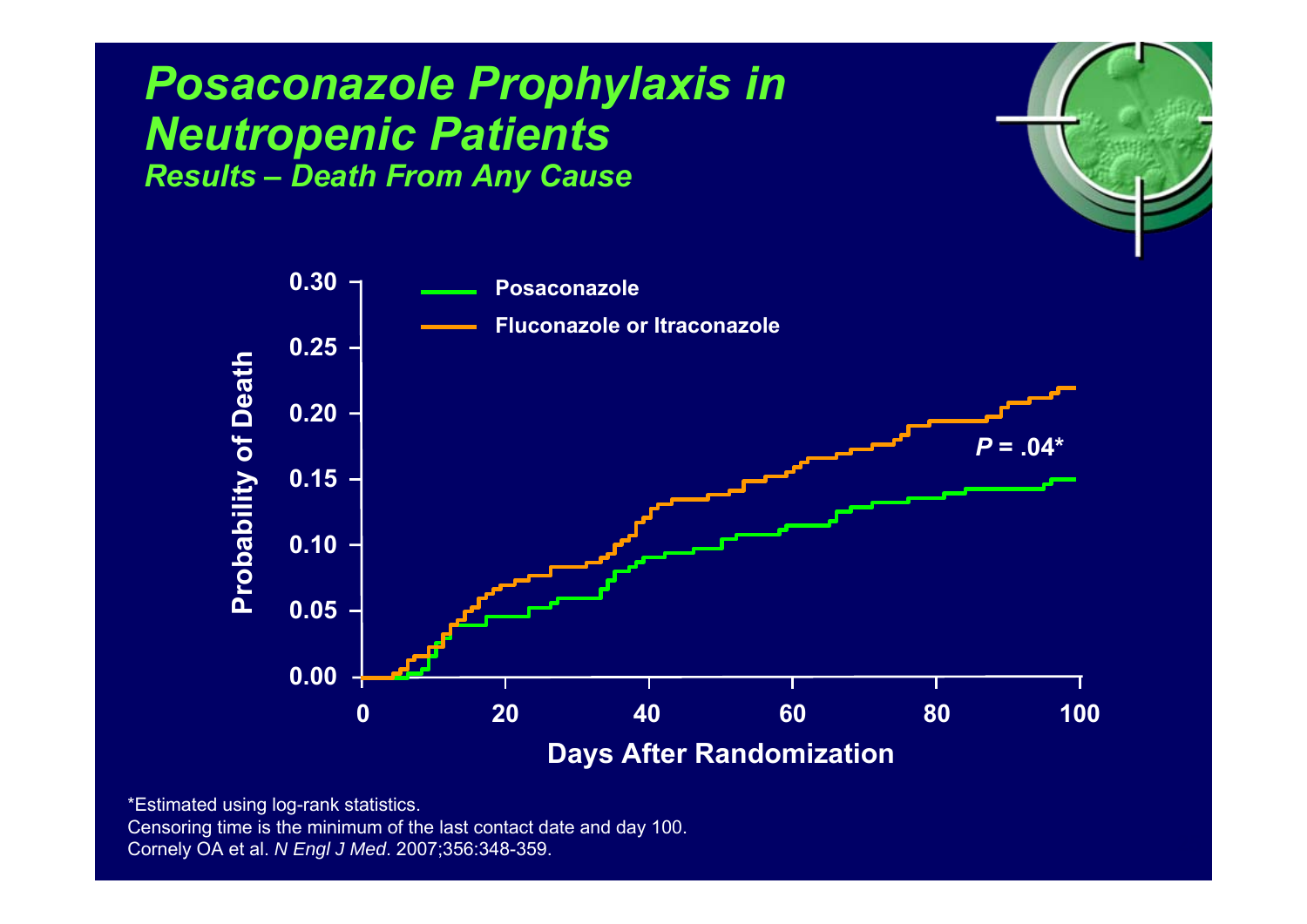#### *Posaconazole Prophylaxis in Neutropenic Patients Results – Death From Any Cause*



 $r_{\rm e}$ 

\*Estimated using log-rank statistics. Censoring time is the minimum of the last contact date and day 100. Cornely OA et al. *N Engl J Med*. 2007;356:348-359.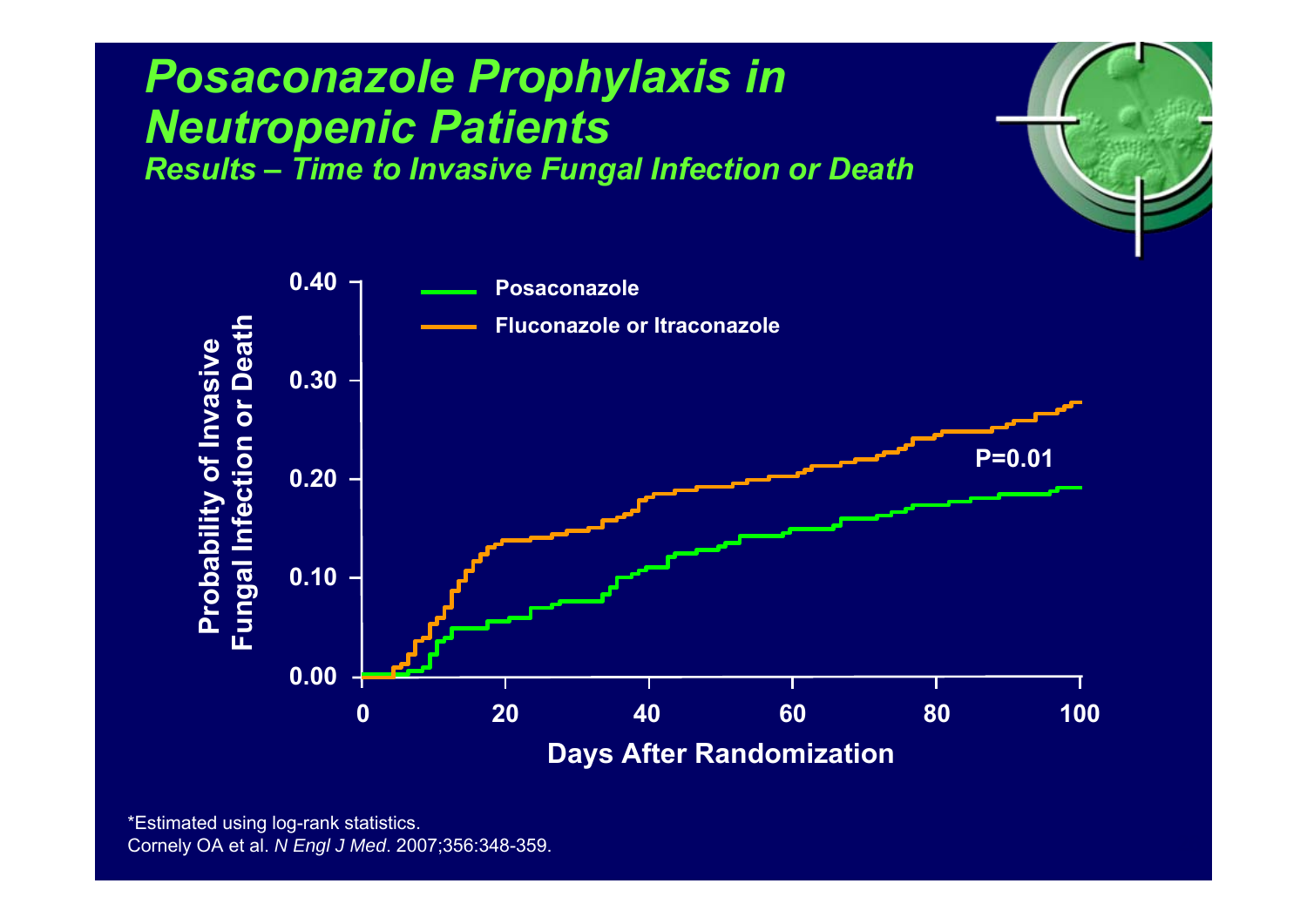

 $r_{\rm e}$ 

#### *Posaconazole Prophylaxis in Neutropenic Patients Results – Time to Invasive Fungal Infection or Death*

\*Estimated using log-rank statistics. Cornely OA et al. *N Engl J Med*. 2007;356:348-359.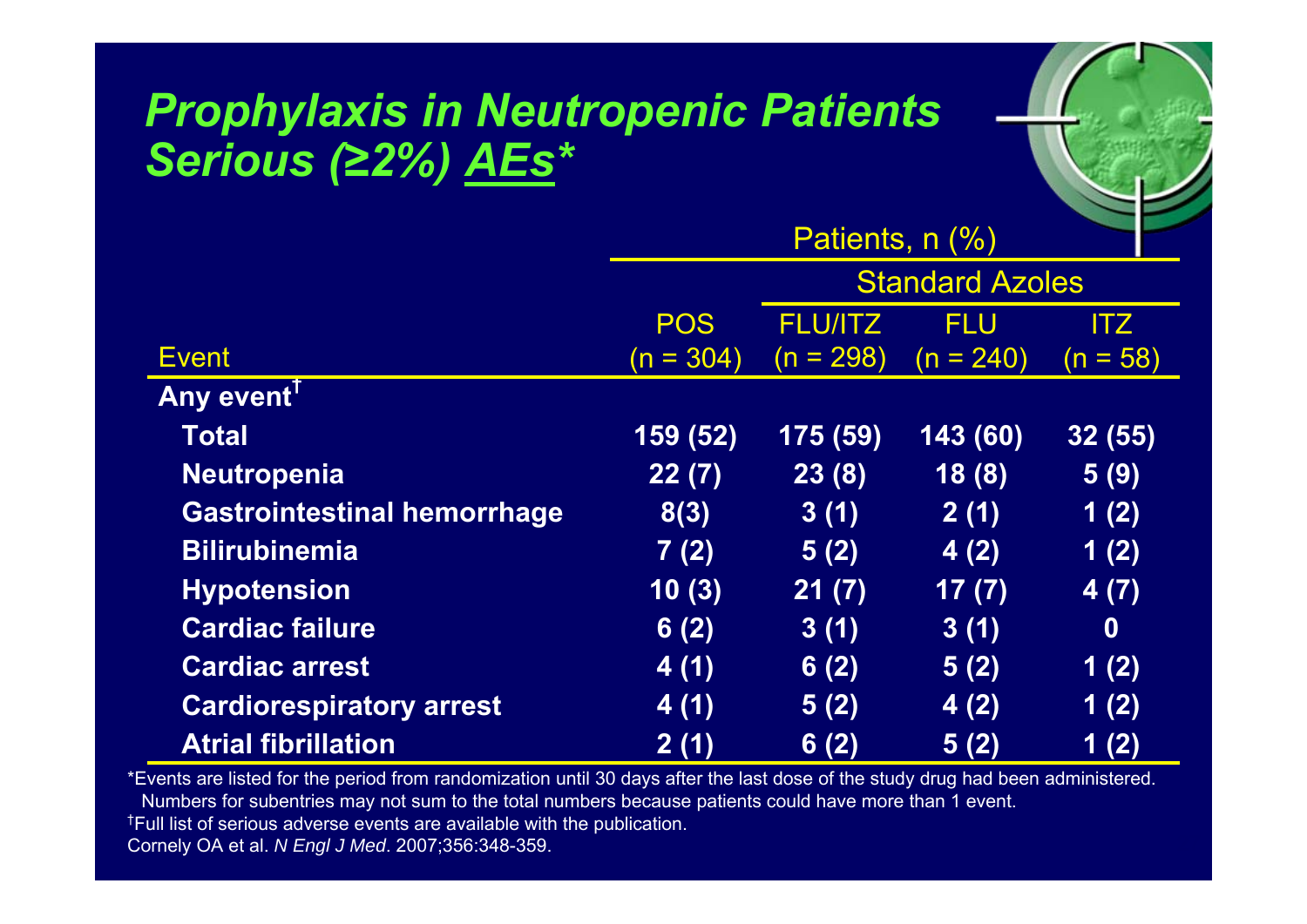### *Prophylaxis in Neutropenic Patients Serious (≥2%) AEs \**

|                                    | Patients, n (%)        |                |             |            |
|------------------------------------|------------------------|----------------|-------------|------------|
|                                    | <b>Standard Azoles</b> |                |             |            |
|                                    | <b>POS</b>             | <b>FLU/ITZ</b> | <b>FLU</b>  | ITZ        |
| <b>Event</b>                       | $(n = 304)$            | $(n = 298)$    | $(n = 240)$ | $(n = 58)$ |
| <b>Any event</b>                   |                        |                |             |            |
| <b>Total</b>                       | 159 (52)               | 175 (59)       | 143(60)     | 32(55)     |
| <b>Neutropenia</b>                 | 22(7)                  | 23(8)          | 18(8)       | 5(9)       |
| <b>Gastrointestinal hemorrhage</b> | 8(3)                   | 3(1)           | 2(1)        | 1(2)       |
| <b>Bilirubinemia</b>               | 7(2)                   | 5(2)           | 4(2)        | 1(2)       |
| <b>Hypotension</b>                 | 10(3)                  | 21(7)          | 17(7)       | 4(7)       |
| <b>Cardiac failure</b>             | 6(2)                   | 3(1)           | 3(1)        | $\bf{0}$   |
| <b>Cardiac arrest</b>              | 4(1)                   | 6(2)           | 5(2)        | 1(2)       |
| <b>Cardiorespiratory arrest</b>    | 4(1)                   | 5(2)           | 4(2)        | 1(2)       |
| <b>Atrial fibrillation</b>         | 2(1)                   | 6(2)           | 5(2)        | 1(2)       |

 $r_{\rm e}$ 

\*Events are listed for the period from randomization until 30 days after the last dose of the study drug had been administered. Numbers for subentries may not sum to the total numbers because patients could have more than 1 event.<br>†Full list of serious adverse events are available with the publication.

Cornely OA et al. *N Engl J Med*. 2007;356:348-359.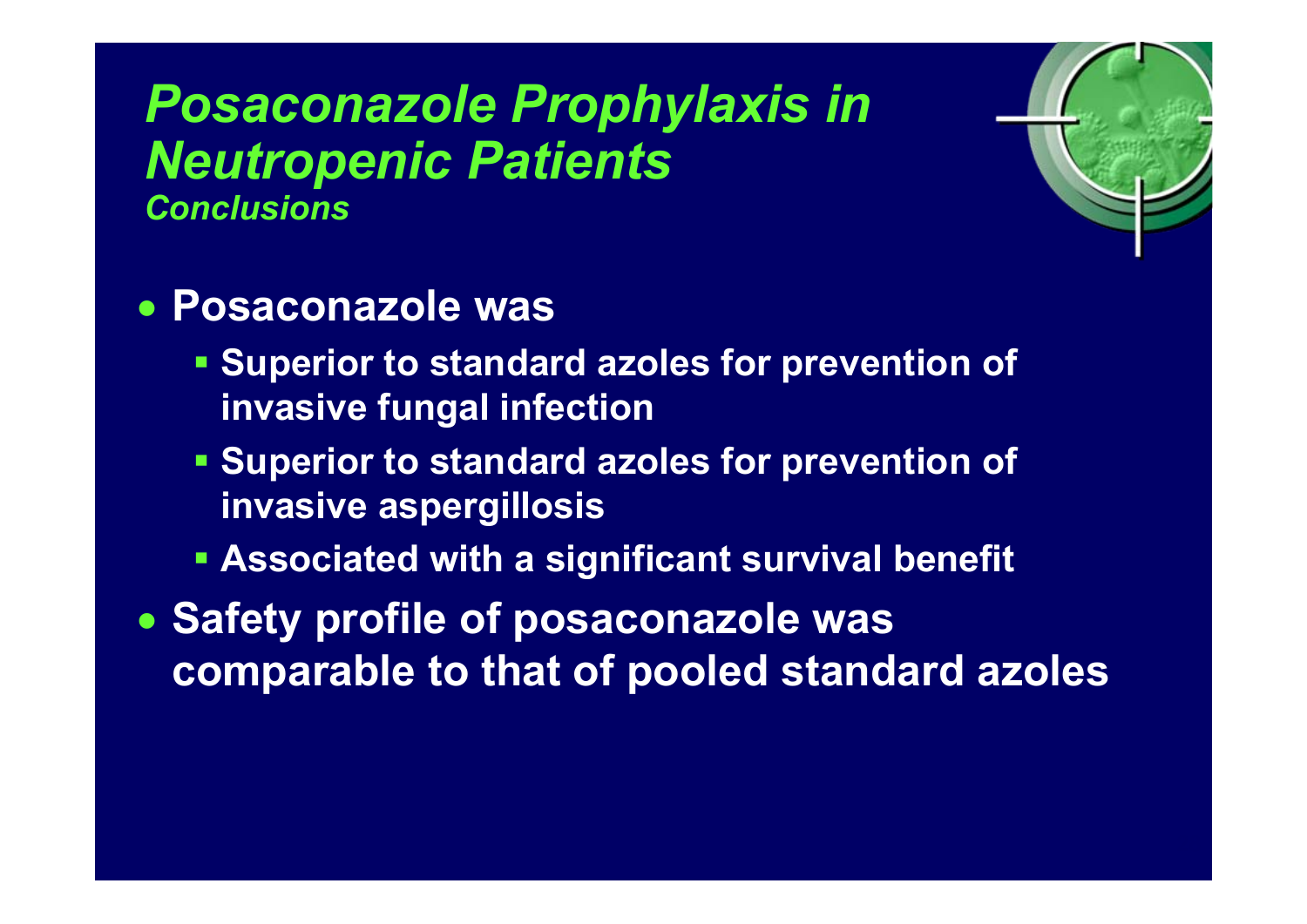### *Posaconazole Prophylaxis in Neutropenic Patients Conclusions*



#### • **Posaconazole was**

- **Superior to standard azoles for prevention of invasive fungal infection**
- **Superior to standard azoles for prevention of invasive aspergillosis**
- **Associated with a significant survival benefit**
- **Safety profile of posaconazole was comparable to that of pooled standard azoles**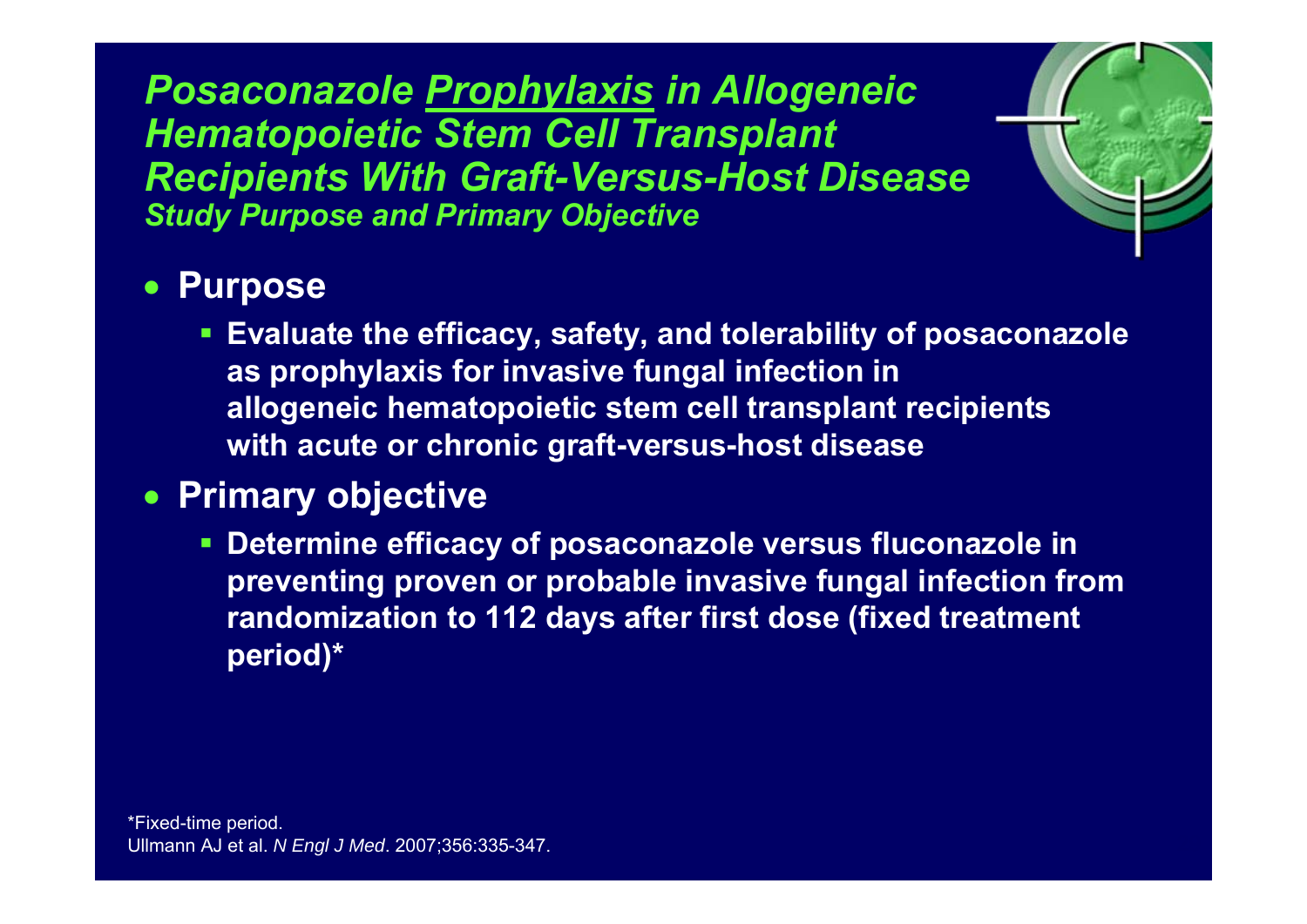*Posaconazole Prophylaxis in Allogeneic Hematopoietic Stem Cell Transplant Recipients With Graft-Versus-Host Disease Study Purpose and Primary Objective*



#### • **Purpose**

 **Evaluate the efficacy, safety, and tolerability of posaconazole as prophylaxis for invasive fungal infection in allogeneic hematopoietic stem cell transplant recipients with acute or chronic graft-versus-host disease** 

#### • **Primary objective**

 **Determine efficacy of posaconazole versus fluconazole in preventing proven or probable invasive fungal infection from randomization to 112 days after first dose (fixed treatment period)\***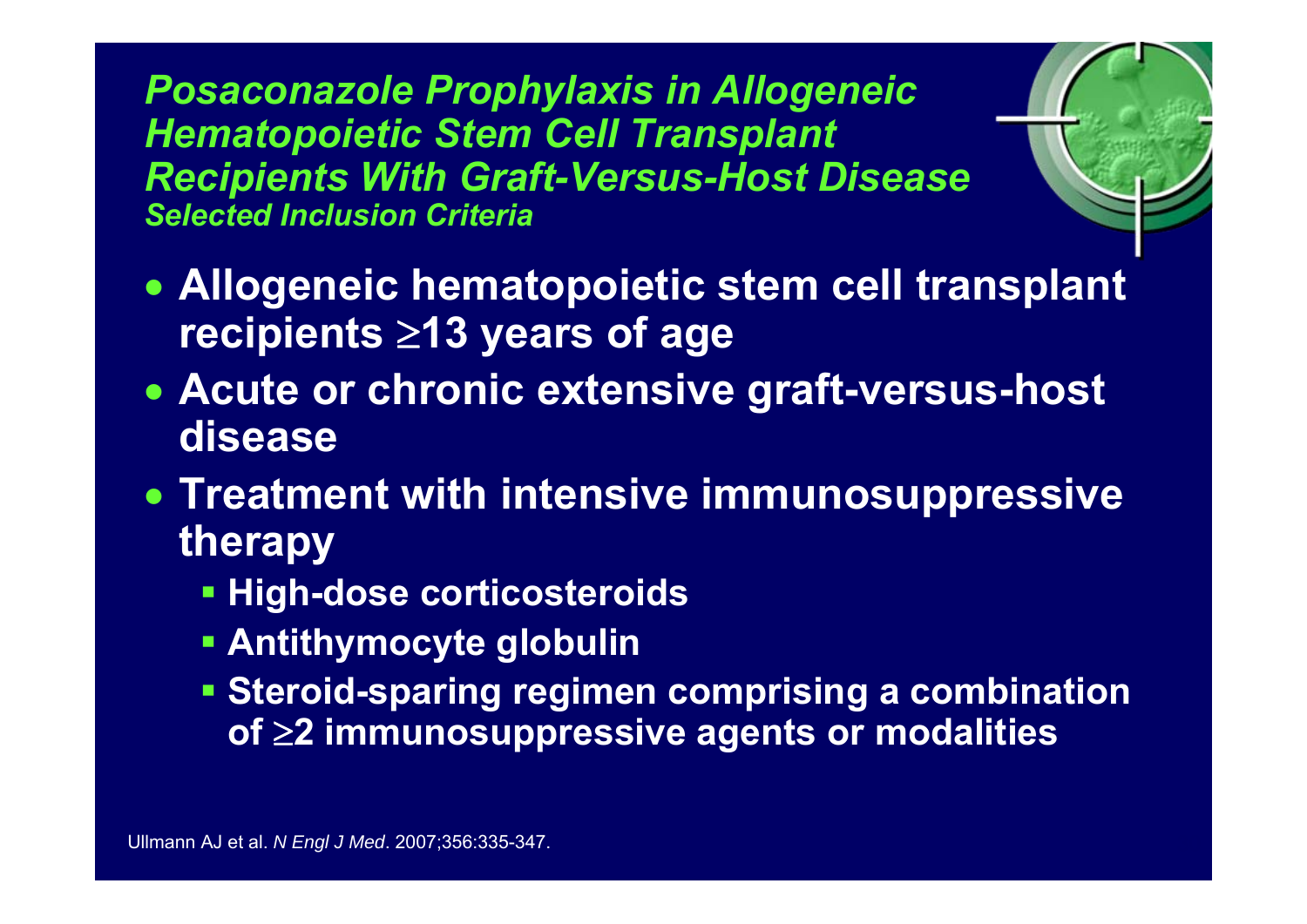*Posaconazole Prophylaxis in Allogeneic Hematopoietic Stem Cell Transplant Recipients With Graft-Versus-Host Disease Selected Inclusion Criteria*



- **Allogeneic hematopoietic stem cell transplant recipients**  <sup>≥</sup>**13 years of age**
- **Acute or chronic extensive graft-versus-host disease**
- **Treatment with intensive immunosuppressive therapy**
	- **High-dose corticosteroids**
	- **Antithymocyte globulin**
	- **Steroid-sparing regimen comprising a combination of**  <sup>≥</sup>**2 immunosuppressive agents or modalities**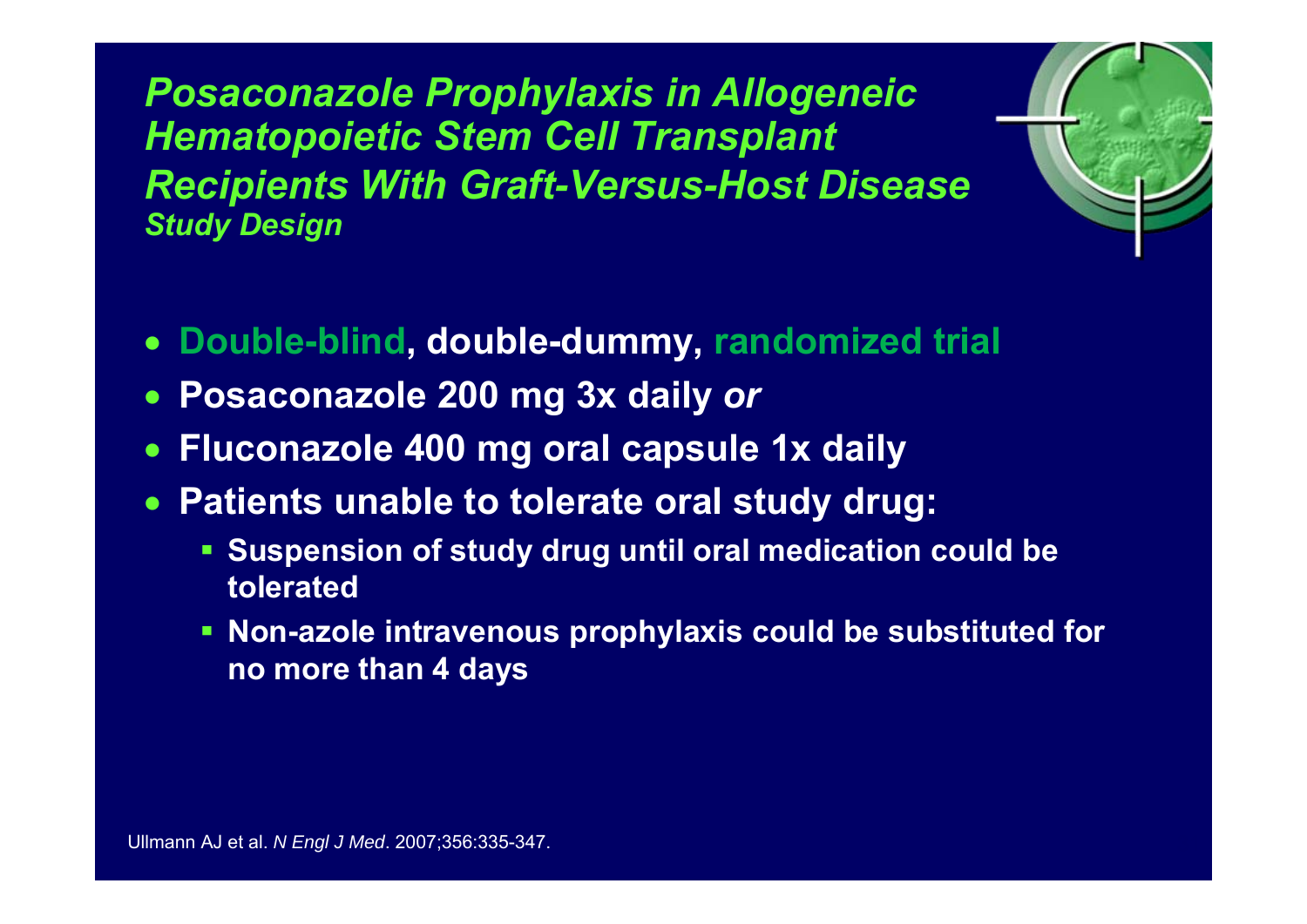*Posaconazole Prophylaxis in Allogeneic Hematopoietic Stem Cell Transplant Recipients With Graft-Versus-Host Disease Study Design*



- •**Double-blind, double-dummy, randomized trial**
- $\bullet$ **Posaconazole 200 mg 3x daily** *or*
- •**Fluconazole 400 mg oral capsule 1x daily**
- • **Patients unable to tolerate oral study drug:**
	- **Suspension of study drug until oral medication could be tolerated**
	- **Non-azole intravenous prophylaxis could be substituted for no more than 4 days**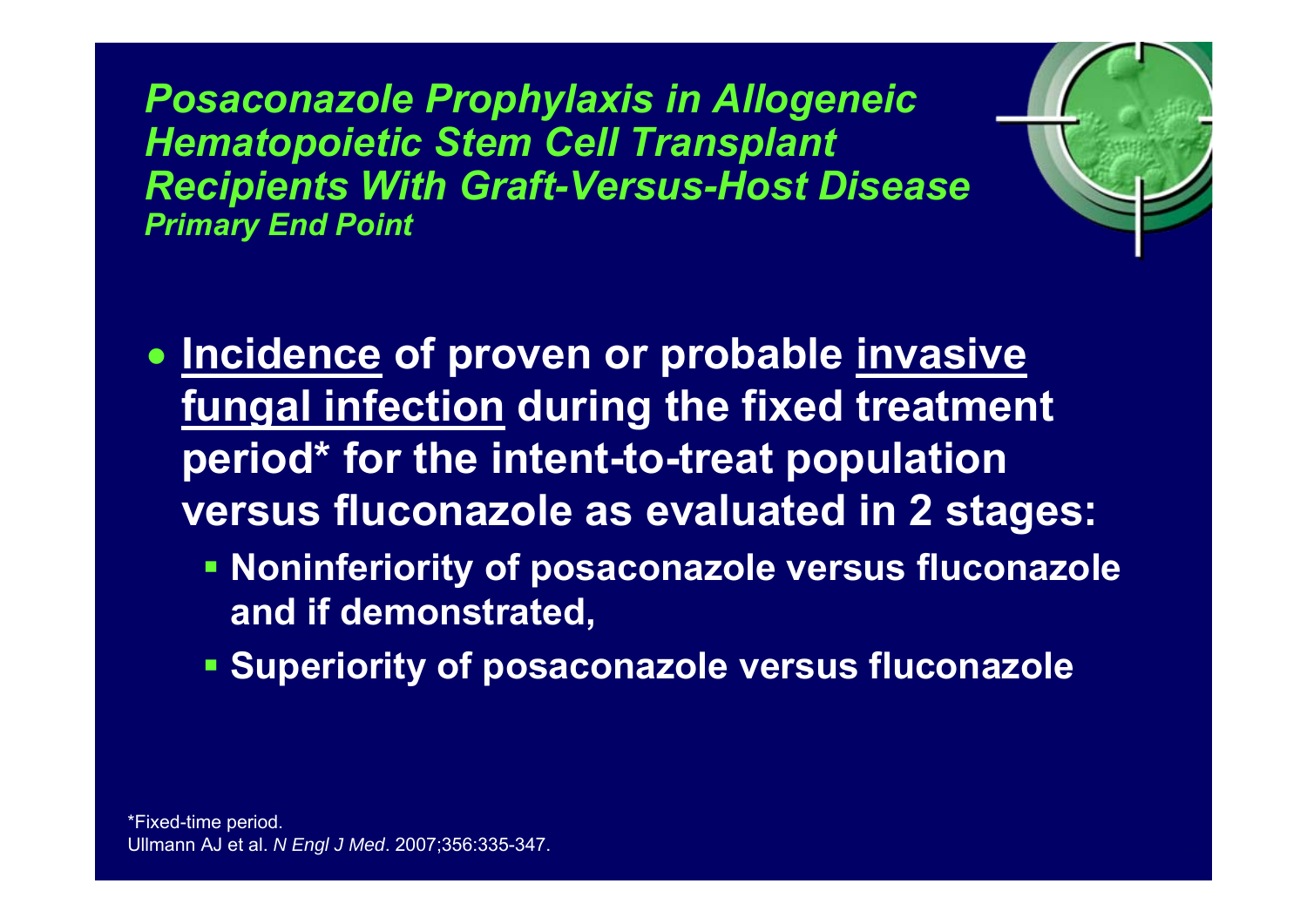*Posaconazole Prophylaxis in Allogeneic Hematopoietic Stem Cell Transplant Recipients With Graft-Versus-Host Disease Primary End Point*



- **Incidence of proven or probable invasive fungal infection during the fixed treatment period\* for the intent-to-treat population versus fluconazole as evaluated in 2 stages:**
	- **Noninferiority of posaconazole versus fluconazole and if demonstrated,**
	- **Superiority of posaconazole versus fluconazole**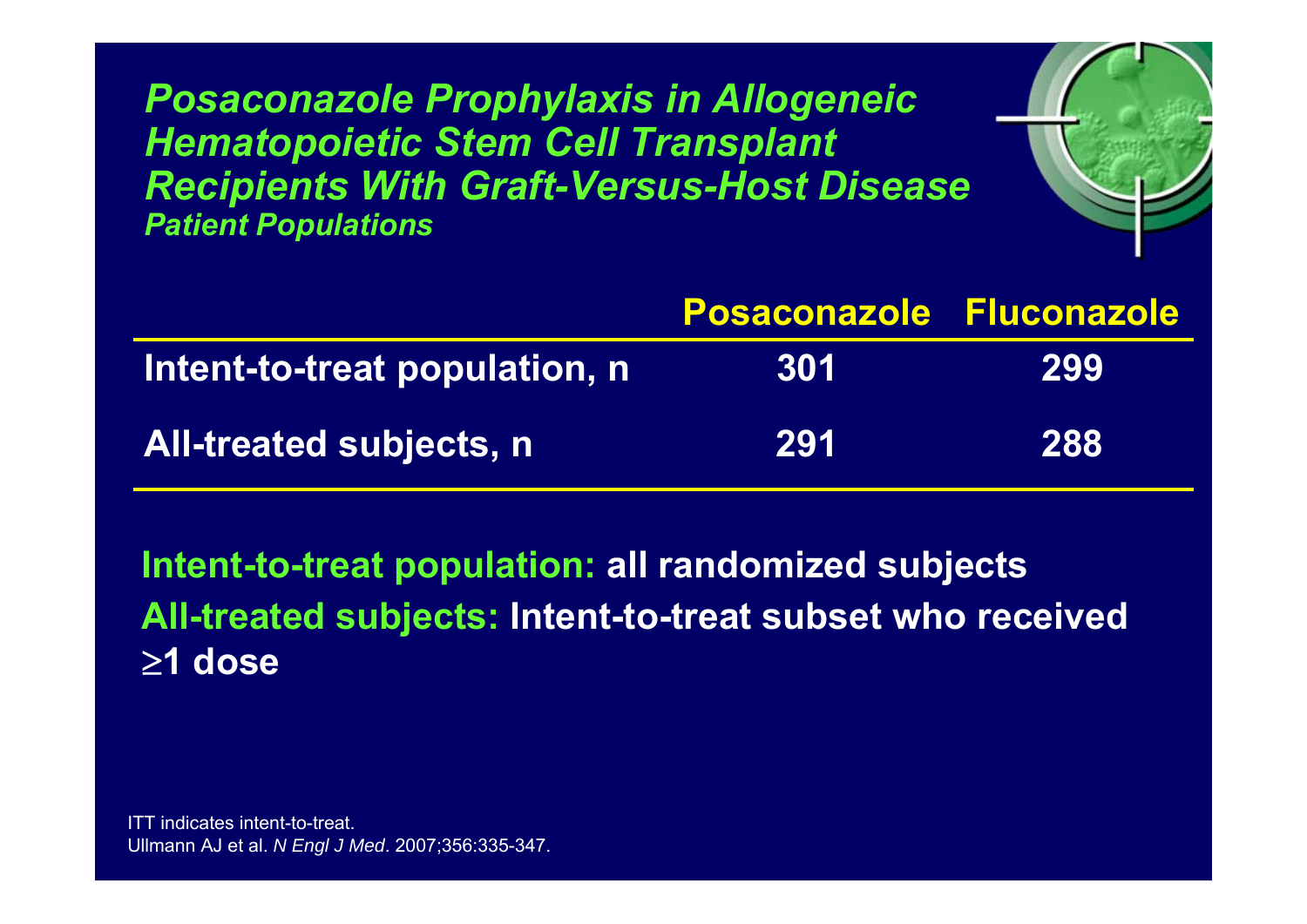*Posaconazole Prophylaxis in Allogeneic Hematopoietic Stem Cell Transplant Recipients With Graft-Versus-Host Disease Patient Populations*



|                                | <b>Posaconazole Fluconazole</b> |     |
|--------------------------------|---------------------------------|-----|
| Intent-to-treat population, n  | 301                             | 299 |
| <b>All-treated subjects, n</b> | 291                             | 288 |

**Intent-to-treat population: all randomized subjects All-treated subjects: Intent-to-treat subset who received**  ≥**1 dose**

ITT indicates intent-to-treat. Ullmann AJ et al. *N Engl J Med*. 2007;356:335-347.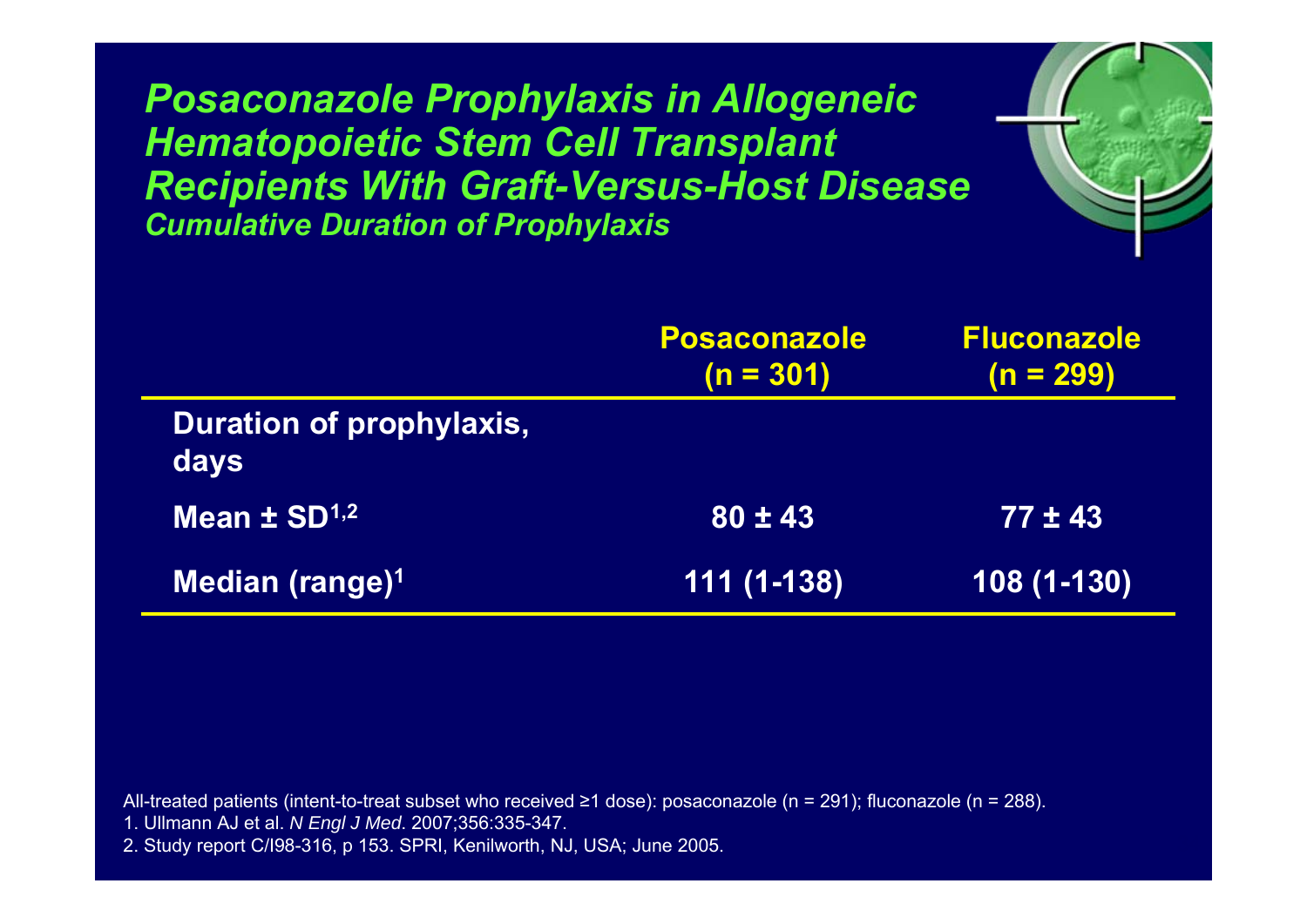*Posaconazole Prophylaxis in Allogeneic Hematopoietic Stem Cell Transplant Recipients With Graft-Versus-Host Disease Cumulative Duration of Prophylaxis*



 $r_{\rm e}$ 

All-treated patients (intent-to-treat subset who received <sup>≥</sup>1 dose): posaconazole (n = 291); fluconazole (n = 288).

- 1. Ullmann AJ et al. *N Engl J Med*. 2007;356:335-347.
- 2. Study report C/I98-316, p 153. SPRI, Kenilworth, NJ, USA; June 2005.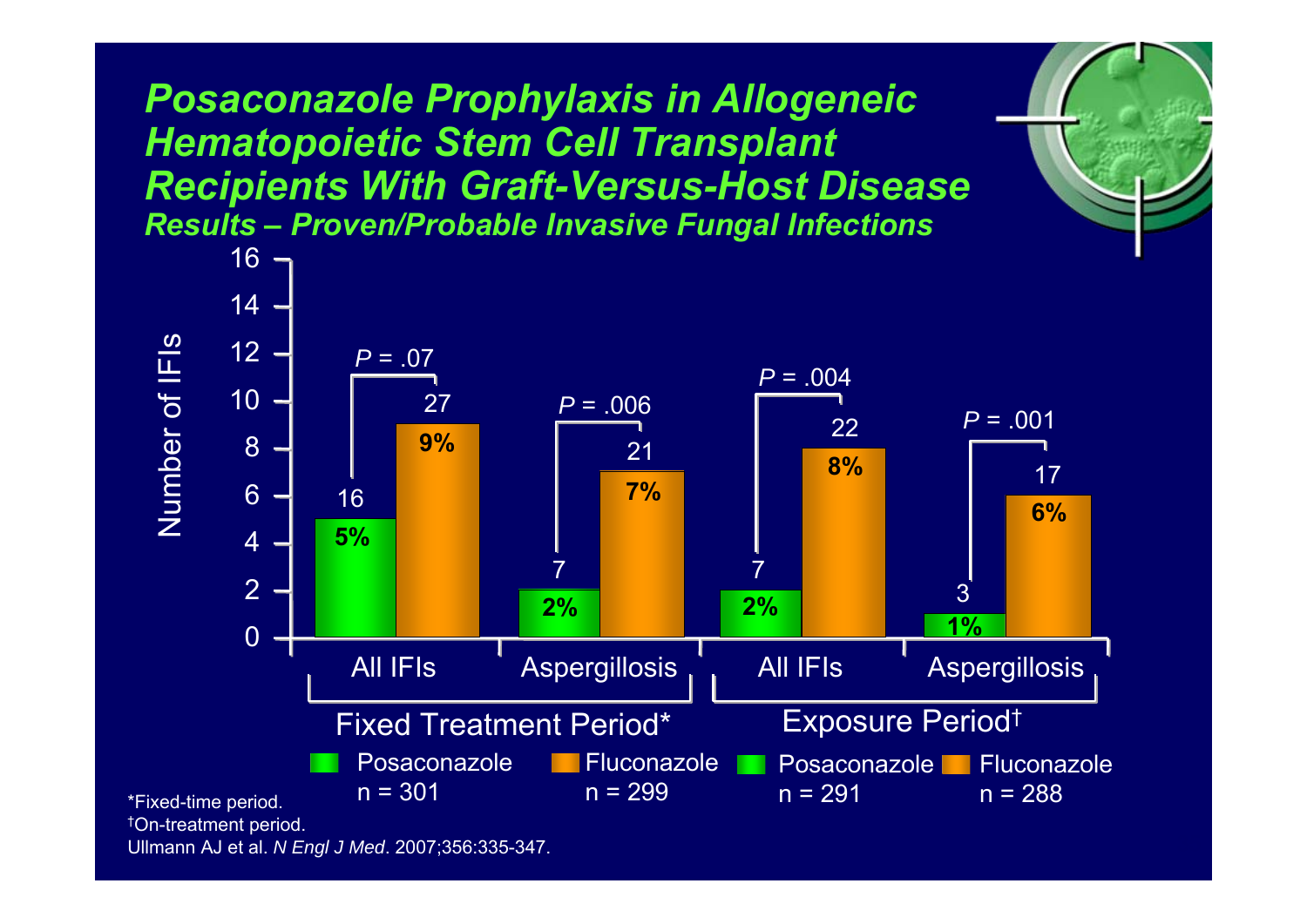*Posaconazole Prophylaxis in Allogeneic Hematopoietic Stem Cell Transplant Recipients With Graft-Versus-Host Disease Results – Proven/Probable Invasive Fungal Infections*

 $r_{\rm e}$ 



Ullmann AJ et al. *N Engl J Med*. 2007;356:335-347.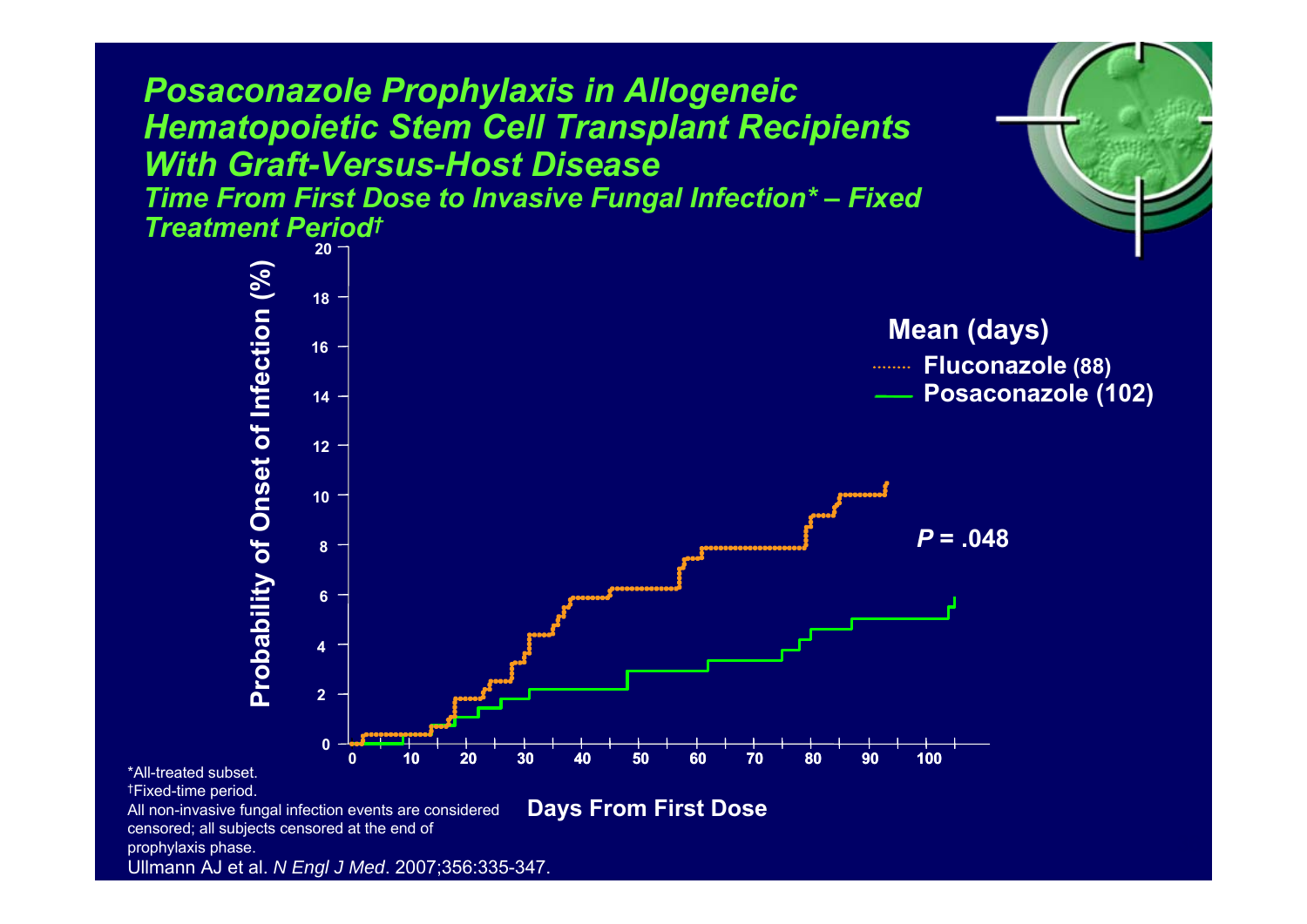*Posaconazole Prophylaxis in Allogeneic Hematopoietic Stem Cell Transplant Recipients With Graft-Versus-Host Disease Time From First Dose to Invasive Fungal Infection\* – Fixed Treatment Period †* **20 Probability of Onset of Infection (%)** Probability of Onset of Infection (%) **18Mean (days) 16Fluconazole (88) 100Posaconazole (102) 141210**  $P = 0.048$ **8 64200 10 20 30 40 50 60 70 80 90 100** \*All-treated subset. †Fixed-time period. **Days From First Dose** All non-invasive fungal infection events are considered censored; all subjects censored at the end of prophylaxis phase. Ullmann AJ et al. *N Engl J Med*. 2007;356:335-347.

 $r_{\rm e}$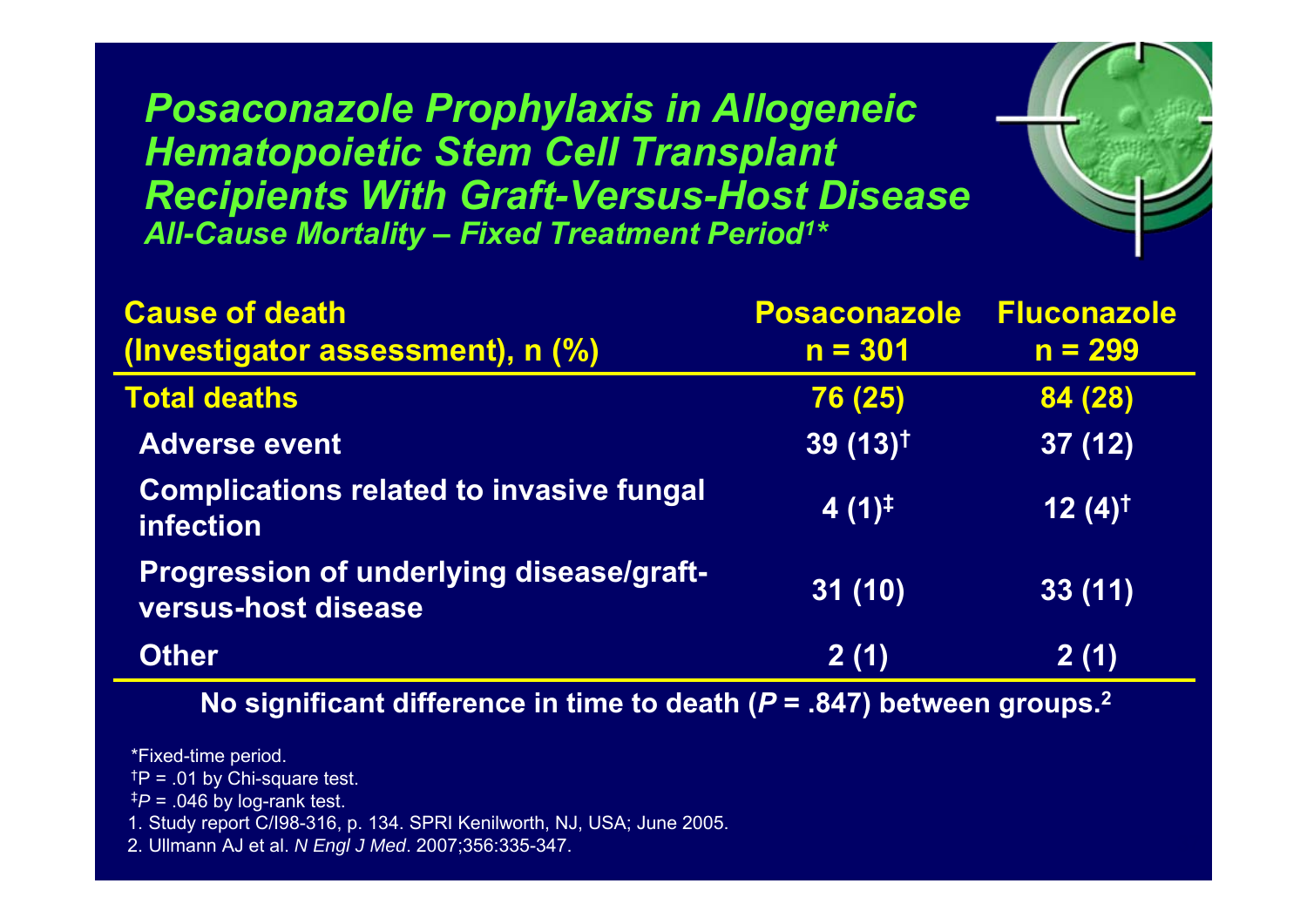*Posaconazole Prophylaxis in Allogeneic Hematopoietic Stem Cell Transplant Recipients With Graft-Versus-Host Disease All-Cause Mortality – Fixed Treatment Period 1 \**

| <b>Cause of death</b>                                                  | <b>Posaconazole</b>   | <b>Fluconazole</b>   |
|------------------------------------------------------------------------|-----------------------|----------------------|
| (Investigator assessment), n (%)                                       | $n = 301$             | $n = 299$            |
| <b>Total deaths</b>                                                    | 76 (25)               | 84 (28)              |
| <b>Adverse event</b>                                                   | $39(13)$ <sup>†</sup> | 37(12)               |
| <b>Complications related to invasive fungal</b><br>infection           | $4(1)^{\ddagger}$     | $12(4)$ <sup>†</sup> |
| <b>Progression of underlying disease/graft-</b><br>versus-host disease | 31(10)                | 33(11)               |
| <b>Other</b>                                                           | 2(1)                  | 2(1)                 |

 $r_{\rm e}$ 

**No significant difference in time to death (** *P* **= .847) between groups. 2**

\*Fixed-time period.

 $<sup>†</sup>P = .01$  by Chi-square test.</sup>

 $^{\ddagger}P$  = .046 by log-rank test.

1. Study report C/I98-316, p. 134. SPRI Kenilworth, NJ, USA; June 2005.

2. Ullmann AJ et al. *N Engl J Med*. 2007;356:335-347.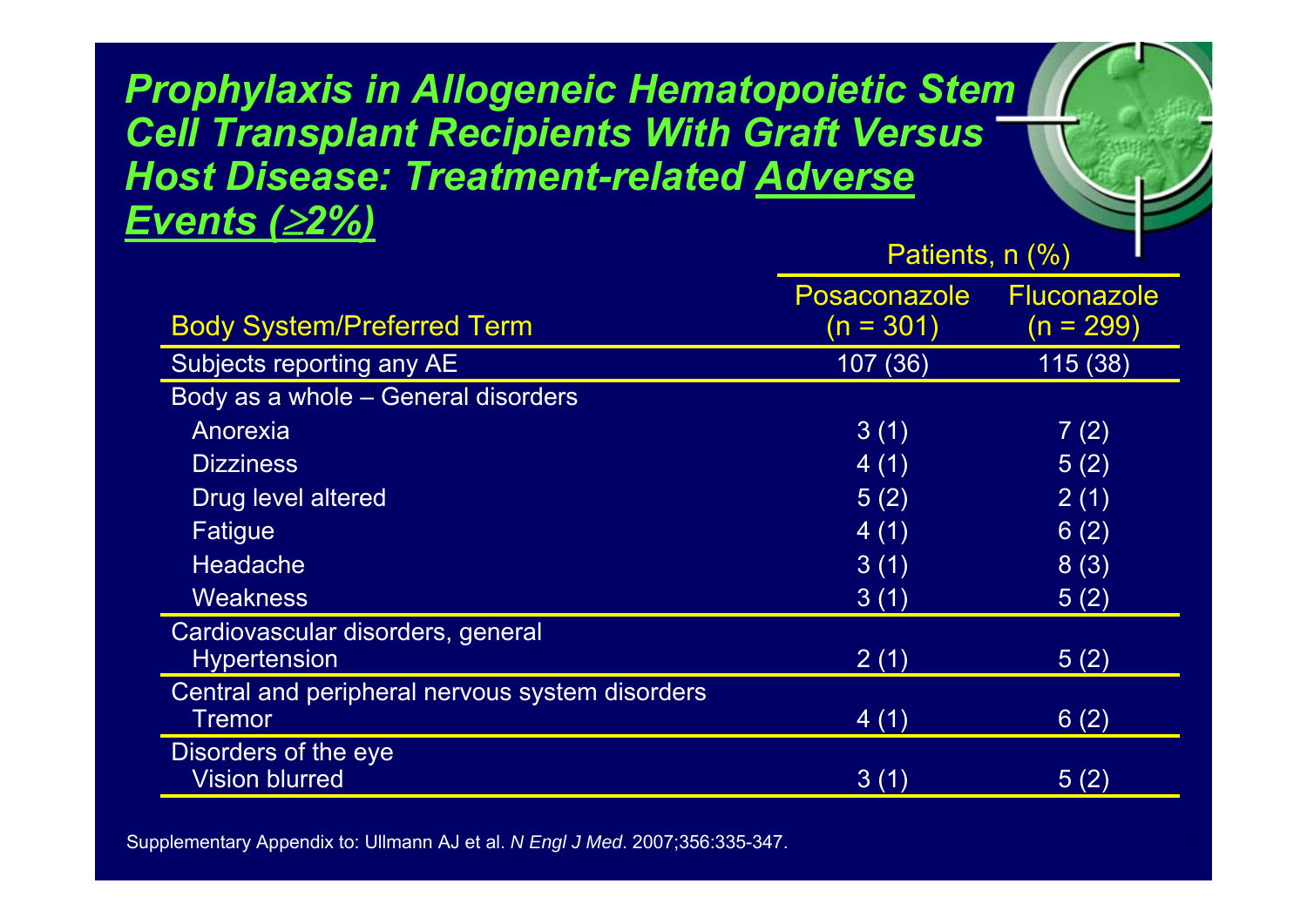*Prophylaxis in Allogeneic Hematopoietic Stem Cell Transplant Recipients With Graft Versus Host Disease: Treatment-related Adverse Events (*≥*2%)* Dationte  $n / 0/$ 

|                                                 | $\blacksquare$ auvillo, $\blacksquare$ (707) |                                   |
|-------------------------------------------------|----------------------------------------------|-----------------------------------|
| <b>Body System/Preferred Term</b>               | <b>Posaconazole</b><br>$(n = 301)$           | <b>Fluconazole</b><br>$(n = 299)$ |
|                                                 |                                              |                                   |
| Subjects reporting any AE                       | 107 (36)                                     | 115 (38)                          |
| Body as a whole - General disorders             |                                              |                                   |
| Anorexia                                        | 3(1)                                         | 7(2)                              |
| <b>Dizziness</b>                                | 4(1)                                         | 5(2)                              |
| Drug level altered                              | 5(2)                                         | 2(1)                              |
| Fatigue                                         | 4(1)                                         | 6(2)                              |
| <b>Headache</b>                                 | 3(1)                                         | 8(3)                              |
| Weakness                                        | 3(1)                                         | 5(2)                              |
| Cardiovascular disorders, general               |                                              |                                   |
| <b>Hypertension</b>                             | 2(1)                                         | 5(2)                              |
| Central and peripheral nervous system disorders |                                              |                                   |
| Tremor                                          | 4(1)                                         | 6(2)                              |
| Disorders of the eye                            |                                              |                                   |
| <b>Vision blurred</b>                           | 3(1)                                         | 5(2)                              |

 $r_{\rm e}$ 

Supplementary Appendix to: Ullmann AJ et al. *N Engl J Med*. 2007;356:335-347.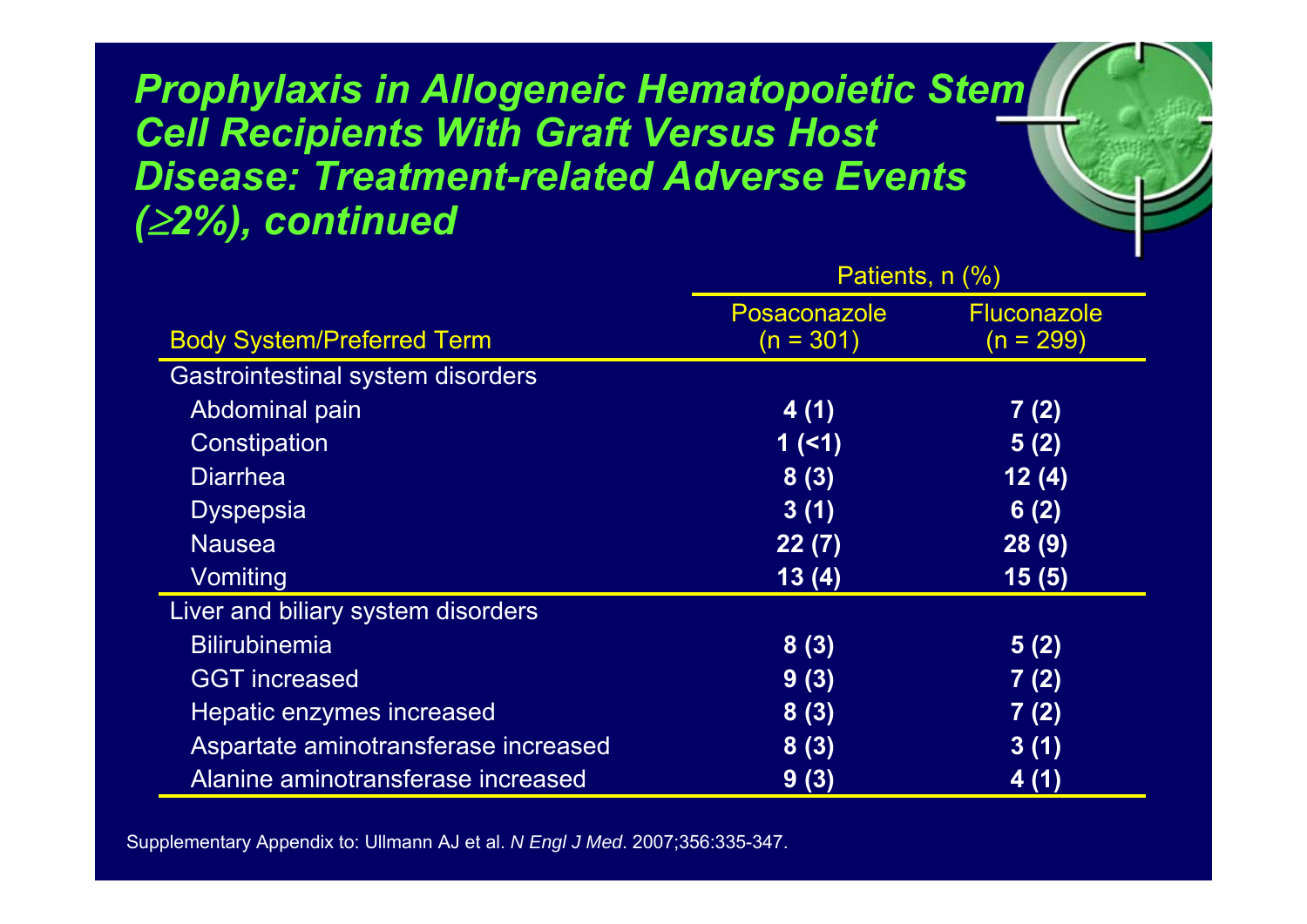*Prophylaxis in Allogeneic Hematopoietic Stem Cell Recipients With Graft Versus Host Disease: Treatment-related Adverse Events (*≥*2%), continued*

 $r_{\rm e}$ 

|                                      | Patients, n (%)                    |                                   |
|--------------------------------------|------------------------------------|-----------------------------------|
| <b>Body System/Preferred Term</b>    | <b>Posaconazole</b><br>$(n = 301)$ | <b>Fluconazole</b><br>$(n = 299)$ |
| Gastrointestinal system disorders    |                                    |                                   |
| Abdominal pain                       | 4(1)                               | 7(2)                              |
| Constipation                         | 1(1)                               | 5(2)                              |
| <b>Diarrhea</b>                      | 8(3)                               | 12(4)                             |
| <b>Dyspepsia</b>                     | 3(1)                               | 6(2)                              |
| <b>Nausea</b>                        | 22(7)                              | 28(9)                             |
| Vomiting                             | 13(4)                              | 15(5)                             |
| Liver and biliary system disorders   |                                    |                                   |
| <b>Bilirubinemia</b>                 | 8(3)                               | 5(2)                              |
| <b>GGT</b> increased                 | 9(3)                               | 7(2)                              |
| Hepatic enzymes increased            | 8(3)                               | 7(2)                              |
| Aspartate aminotransferase increased | 8(3)                               | 3(1)                              |
| Alanine aminotransferase increased   | 9(3)                               | 4(1)                              |

Supplementary Appendix to: Ullmann AJ et al. *N Engl J Med*. 2007;356:335-347.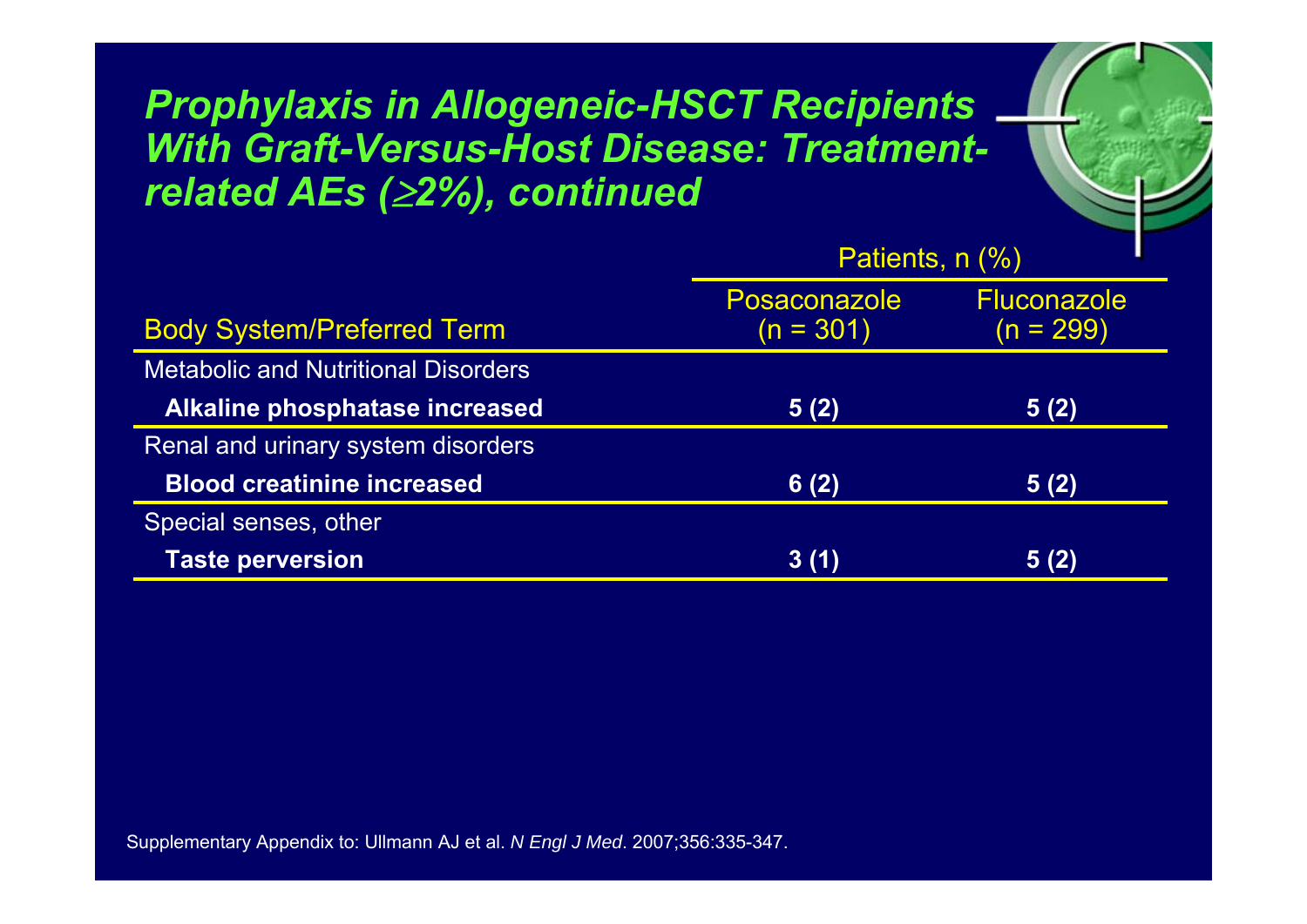#### *Prophylaxis in Allogeneic-HSCT Recipients With Graft-Versus-Host Disease: Treatmentrelated AEs (*≥*2%), continued*

|                                            | Patients, n (%)                    |                                   |
|--------------------------------------------|------------------------------------|-----------------------------------|
| <b>Body System/Preferred Term</b>          | <b>Posaconazole</b><br>$(n = 301)$ | <b>Fluconazole</b><br>$(n = 299)$ |
| <b>Metabolic and Nutritional Disorders</b> |                                    |                                   |
| Alkaline phosphatase increased             | 5(2)                               | 5(2)                              |
| Renal and urinary system disorders         |                                    |                                   |
| <b>Blood creatinine increased</b>          | 6(2)                               | 5(2)                              |
| Special senses, other                      |                                    |                                   |
| <b>Taste perversion</b>                    | 3(1)                               | 5(2)                              |

 $r_{\rm e}$ 

Supplementary Appendix to: Ullmann AJ et al. *N Engl J Med*. 2007;356:335-347.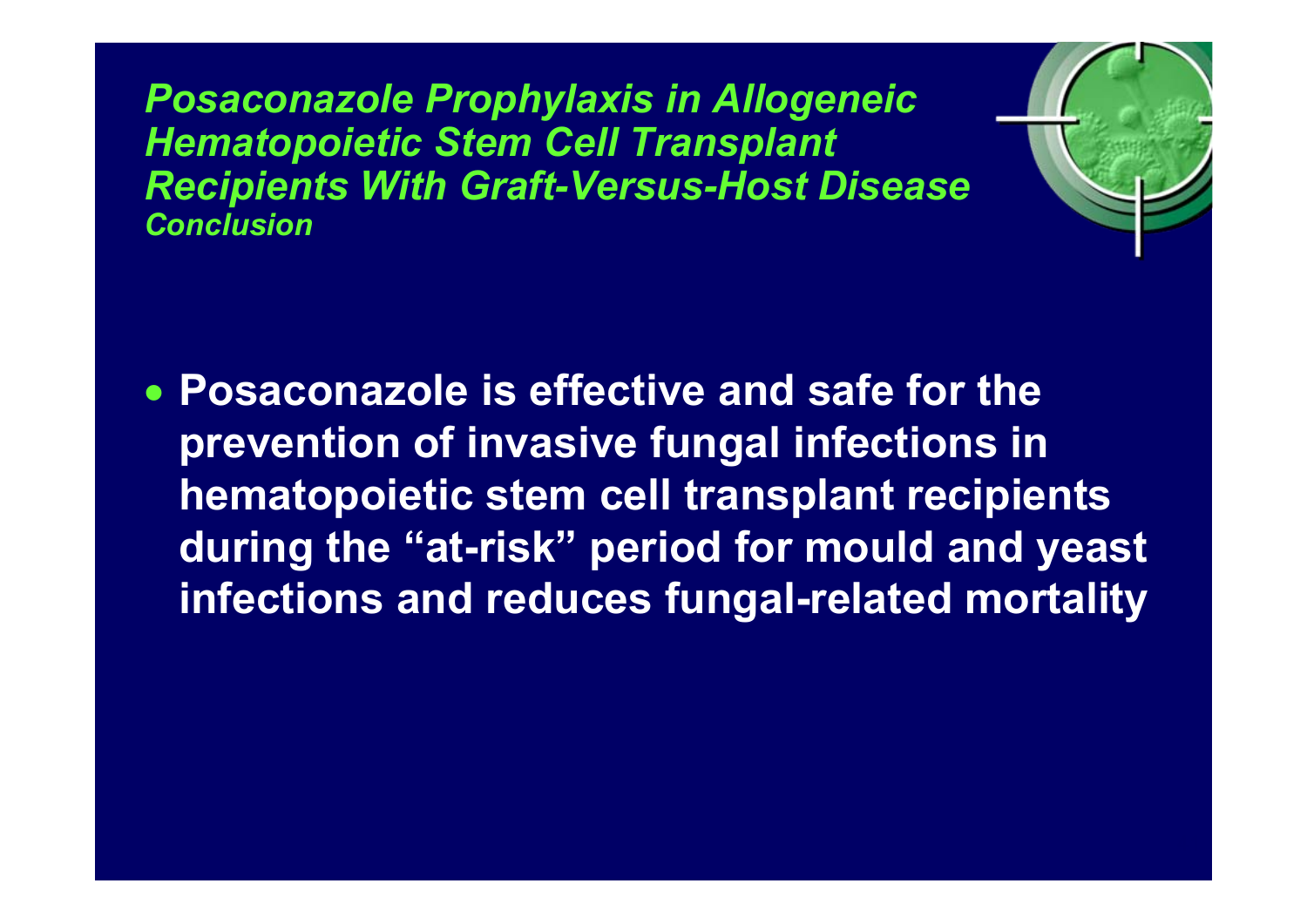*Posaconazole Prophylaxis in Allogeneic Hematopoietic Stem Cell Transplant Recipients With Graft-Versus-Host Disease Conclusion*



• **Posaconazole is effective and safe for the prevention of invasive fungal infections in hematopoietic stem cell transplant recipients during the "at-risk" period for mould and yeast infections and reduces fungal-related mortality**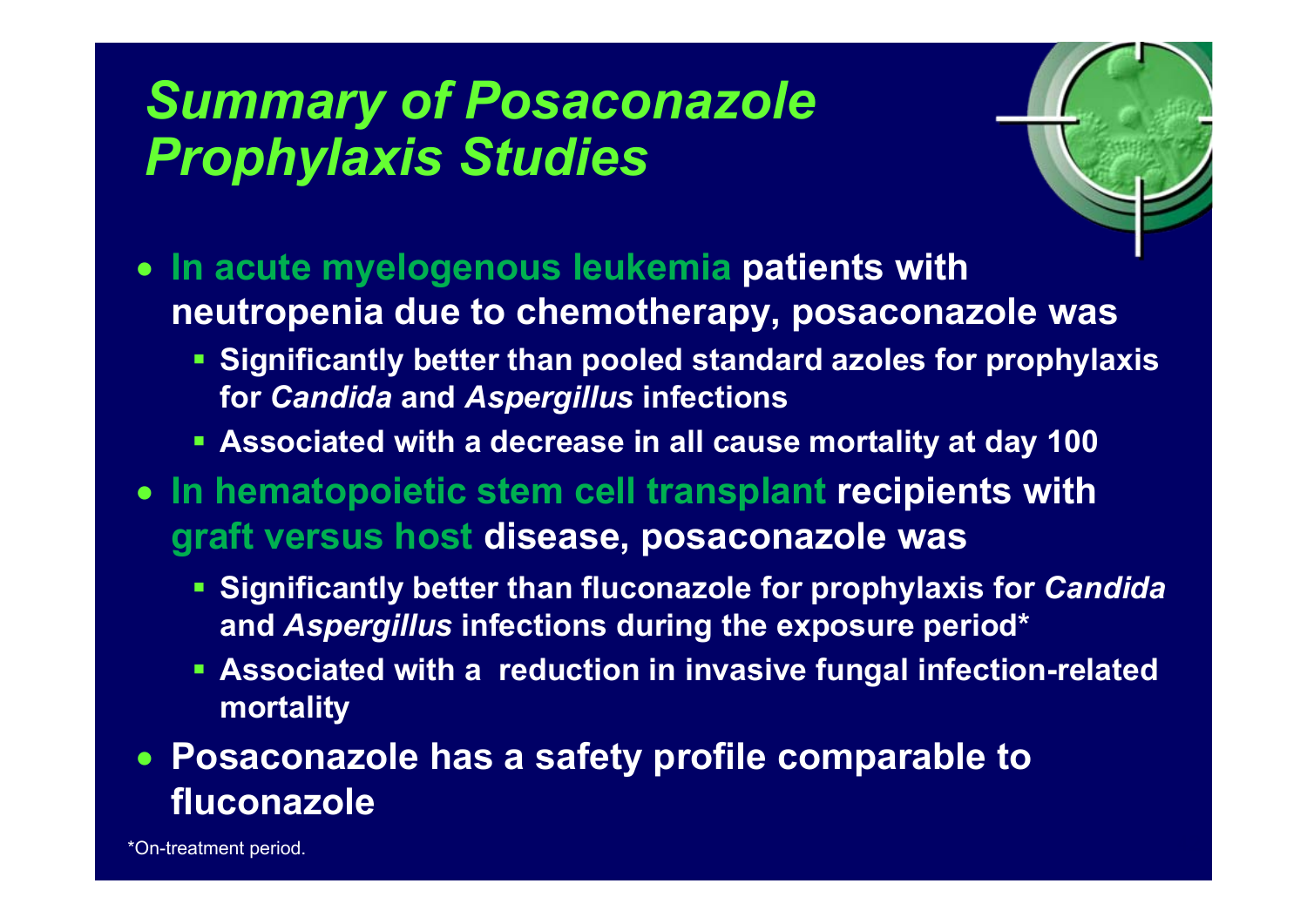# *Summary of Posaconazole Prophylaxis Studies*



- **In acute myelogenous leukemia patients with neutropenia due to chemotherapy, posaconazole was** 
	- **Significantly better than pooled standard azoles for prophylaxis for** *Candida* **and** *Aspergillus* **infections**
	- **Associated with a decrease in all cause mortality at day 100**
- **In hematopoietic stem cell transplant recipients with graft versus host disease, posaconazole was**
	- **Significantly better than fluconazole for prophylaxis for** *Candida* **and** *Aspergillus* **infections during the exposure period\***
	- **Associated with a reduction in invasive fungal infection-related mortality**

#### • **Posaconazole has a safety profile comparable to fluconazole**

\*On-treatment period.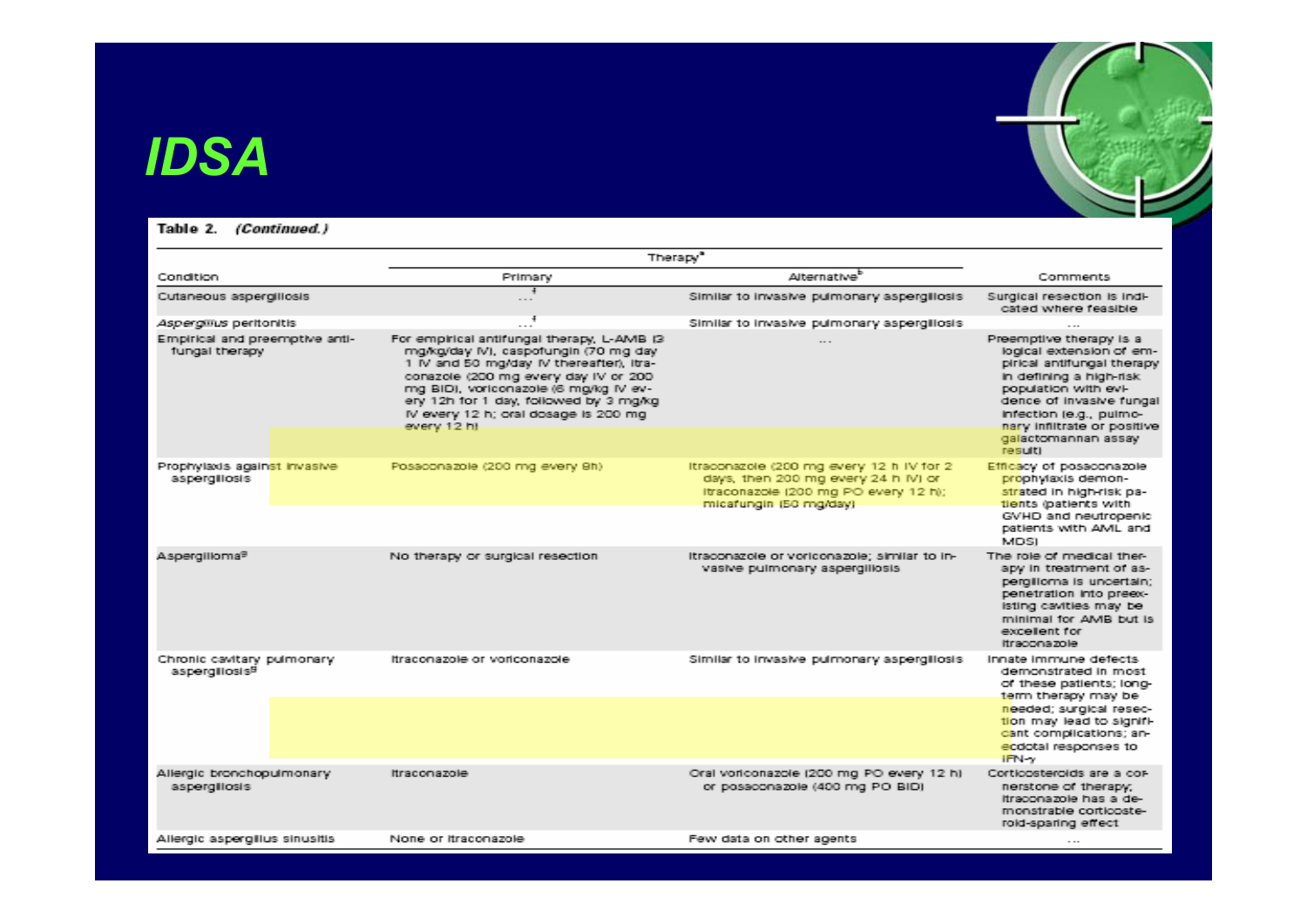### *IDSA*

#### Table 2. (Continued.)

|                                                          | Therapy <sup>®</sup>                                                                                                                                                                                                                                                                                               |                                                                                                                                                   |                                                                                                                                                                                                                                                   |
|----------------------------------------------------------|--------------------------------------------------------------------------------------------------------------------------------------------------------------------------------------------------------------------------------------------------------------------------------------------------------------------|---------------------------------------------------------------------------------------------------------------------------------------------------|---------------------------------------------------------------------------------------------------------------------------------------------------------------------------------------------------------------------------------------------------|
| Condition                                                | Primary                                                                                                                                                                                                                                                                                                            | Alternative <sup>b</sup>                                                                                                                          | Comments                                                                                                                                                                                                                                          |
| Cutaneous aspergillosis                                  | $\ddot{+}$<br>$\sim$ $\sim$                                                                                                                                                                                                                                                                                        | Similar to invasive pulmonary aspergillosis                                                                                                       | Surgical resection is indi-<br>cated where feasible                                                                                                                                                                                               |
| <i>Aspergillus</i> peritonitis                           |                                                                                                                                                                                                                                                                                                                    | Similar to invasive pulmonary aspergillosis                                                                                                       |                                                                                                                                                                                                                                                   |
| Empirical and preemptive anti-<br>fungal therapy         | For empirical antifungal therapy, L-AMB (3)<br>mg/kg/day IV), caspofungin (70 mg day<br>1 IV and 50 mg/day IV thereafter), Itra-<br>conazole (200 mg every day IV or 200<br>mg BID), voriconazole (6 mg/kg IV ev-<br>ery 12h for 1 day, followed by 3 mg/kg<br>IV every 12 h; oral dosage is 200 mg<br>every 12 ht |                                                                                                                                                   | Preemptive therapy is a<br>logical extension of em-<br>pirical antifungal therapy<br>in defining a high-risk<br>population with evi-<br>dence of invasive fungal<br>infection (e.g., pulmo-<br>nary inflitrate or positive<br>galactomannan assay |
| Prophylaxis against Invasive<br>aspergillosis            | Posaconazole (200 mg every 9h)                                                                                                                                                                                                                                                                                     | Itraconazole (200 mg every 12 h IV for 2<br>days, then 200 mg every 24 h IV) or<br>Itraconazole (200 mg PO every 12 h);<br>micafungin (50 mg/day) | result)<br>Efficacy of possconazole<br>prophylaxis demon-<br>strated in high-risk pa-<br>tients (patients with<br>GVHD and neutropenic                                                                                                            |
|                                                          |                                                                                                                                                                                                                                                                                                                    |                                                                                                                                                   | patients with AML and<br><b>MDSI</b>                                                                                                                                                                                                              |
| Aspergilloma <sup>9</sup>                                | No therapy or surgical resection                                                                                                                                                                                                                                                                                   | Itraconazole or voriconazole; similar to in-<br>vasive pulmonary aspergillosis                                                                    | The role of medical ther-<br>apy in treatment of as-<br>pergilloma is uncertain;<br>penetration into preex-<br>isting cavities may be<br>minimal for AMB but is<br>excellent for<br>Itraconazole                                                  |
| Chronic cavitary pulmonary<br>aspergillosis <sup>B</sup> | Itraconazole or voriconazole                                                                                                                                                                                                                                                                                       | Similar to invasive pulmonary aspergillosis                                                                                                       | Innate immune defects<br>demonstrated in most<br>of these patients; long-<br>term therapy may be                                                                                                                                                  |
|                                                          |                                                                                                                                                                                                                                                                                                                    |                                                                                                                                                   | needed; surgical resec-<br>tion may lead to signifi-<br>cant complications; an-<br>ecdotal responses to<br>IFN-y                                                                                                                                  |
| Allergic bronchopulmonary<br>aspergillosis               | Itraconazole                                                                                                                                                                                                                                                                                                       | Oral voriconazole (200 mg PO every 12 h)<br>or possconazole (400 mg PO BID)                                                                       | Corticosteroids are a cor-<br>nerstone of therapy;<br>itraconazole has a de-<br>monstrable corticoste-<br>roid-sparing effect                                                                                                                     |
| Allergic aspergillus sinusitis                           | None or itraconazole                                                                                                                                                                                                                                                                                               | Few data on other agents                                                                                                                          | $\cdots$                                                                                                                                                                                                                                          |

 $r_{\rm e}$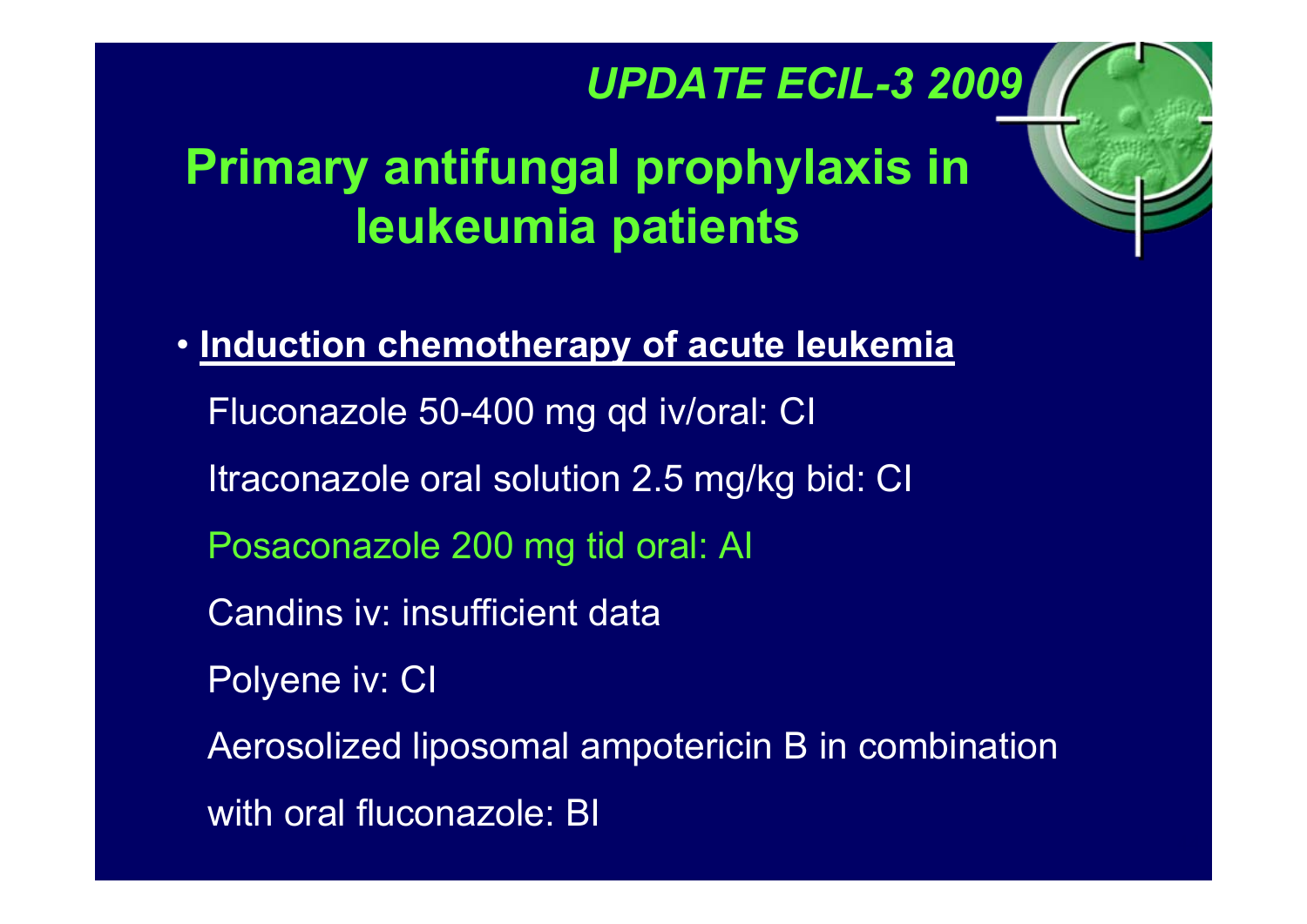### *UPDATE ECIL-3 2009*

 $r_{\rm e}$ 

# **Primary antifungal prophylaxis in leukeumia patients**

• **Induction chemotherapy of acute leukemia** Fluconazole 50-400 mg qd iv/oral: CI Itraconazole oral solution 2.5 mg/kg bid: CI Posaconazole 200 mg tid oral: AI Candins iv: insufficient dataPolyene iv: CI Aerosolized liposomal ampotericin B in combination with oral fluconazole: BI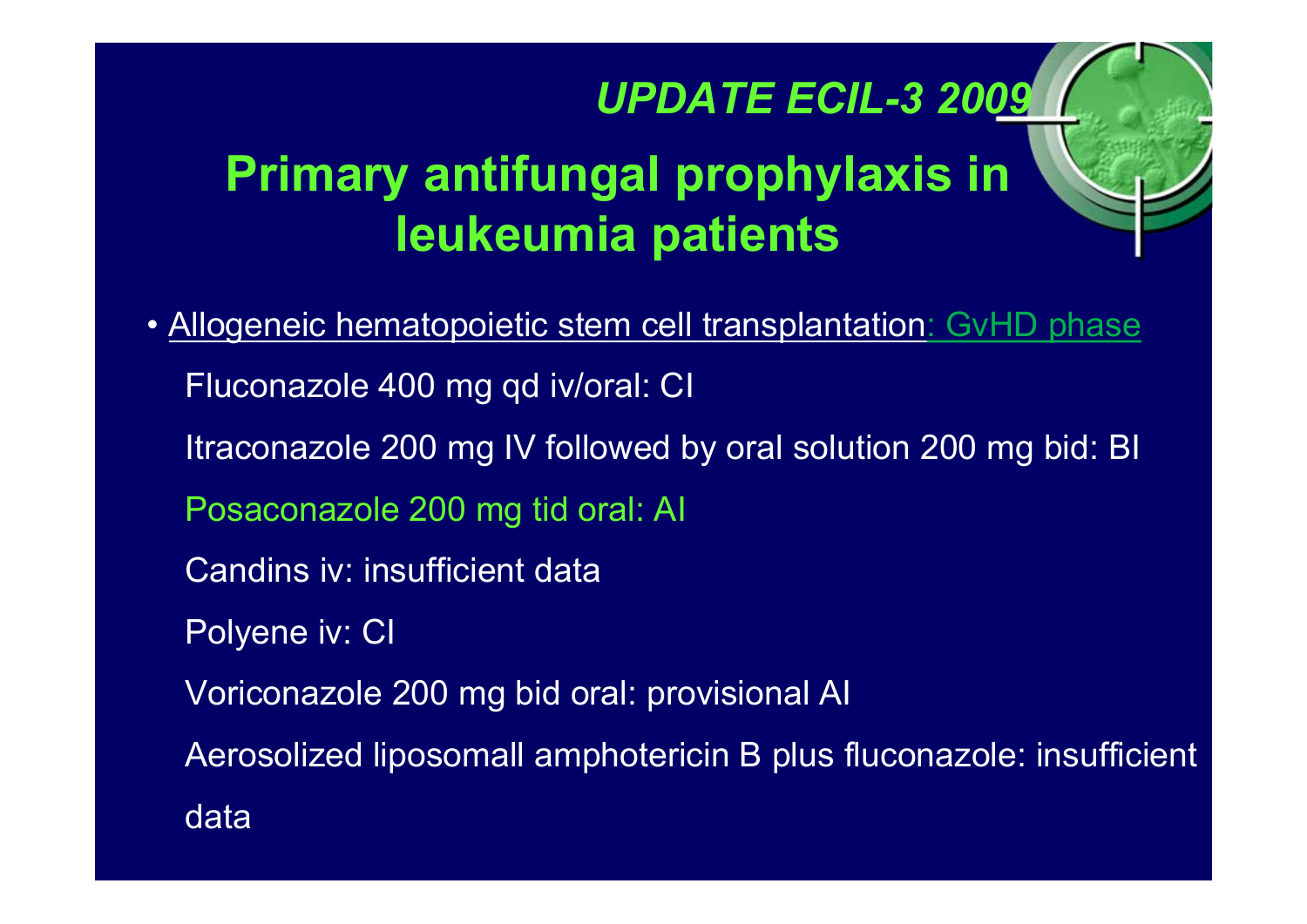### *UPDATE ECIL-3 2009*

 $r_{\rm e}$ 

# **Primary antifungal prophylaxis in leukeumia patients**

• Allogeneic hematopoietic stem cell transplantation: GvHD phase Fluconazole 400 mg qd iv/oral: CI Itraconazole 200 mg IV followed by oral solution 200 mg bid: BI Posaconazole 200 mg tid oral: AI Candins iv: insufficient dataPolyene iv: CI Voriconazole 200 mg bid oral: provisional AI Aerosolized liposomall amphotericin B plus fluconazole: insufficient data